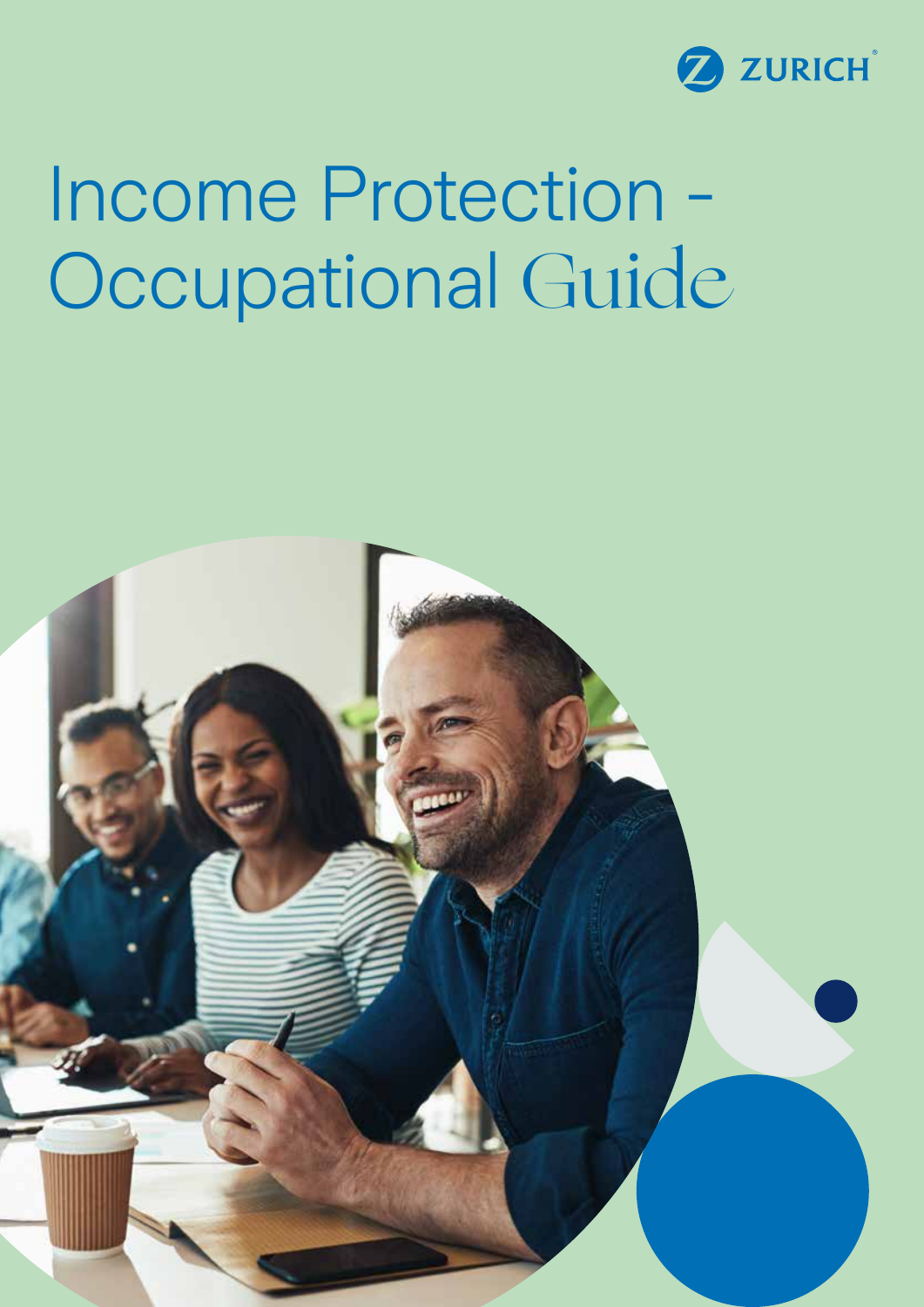

## Income Protection - Occupational Guide

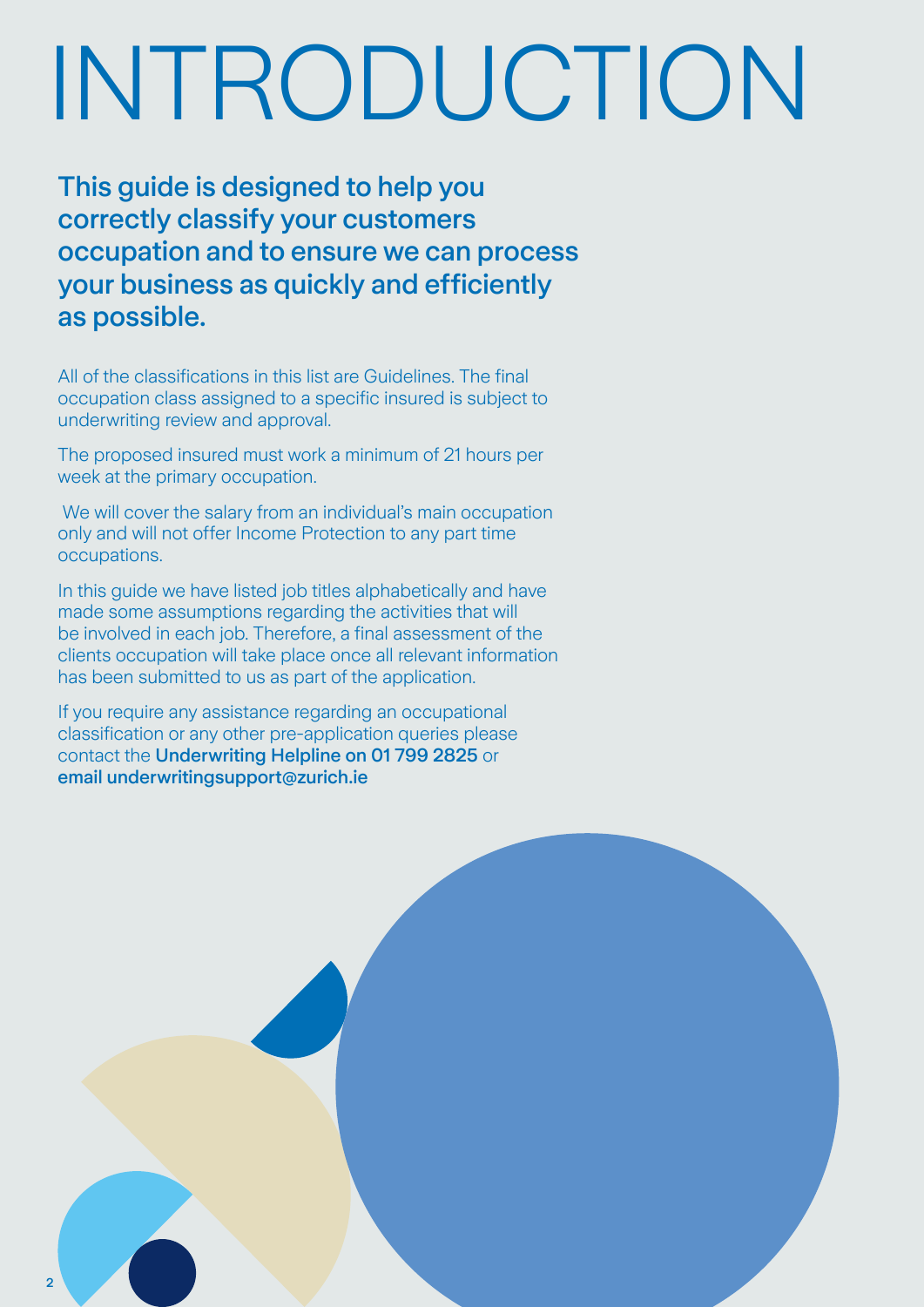## INTRODUCTION

This guide is designed to help you correctly classify your customers occupation and to ensure we can process your business as quickly and efficiently as possible.

All of the classifications in this list are Guidelines. The final occupation class assigned to a specific insured is subject to underwriting review and approval.

The proposed insured must work a minimum of 21 hours per week at the primary occupation.

 We will cover the salary from an individual's main occupation only and will not offer Income Protection to any part time occupations.

In this guide we have listed job titles alphabetically and have made some assumptions regarding the activities that will be involved in each job. Therefore, a final assessment of the clients occupation will take place once all relevant information has been submitted to us as part of the application.

If you require any assistance regarding an occupational classification or any other pre-application queries please contact the Underwriting Helpline on 01 799 2825 or email underwritingsupport@zurich.ie

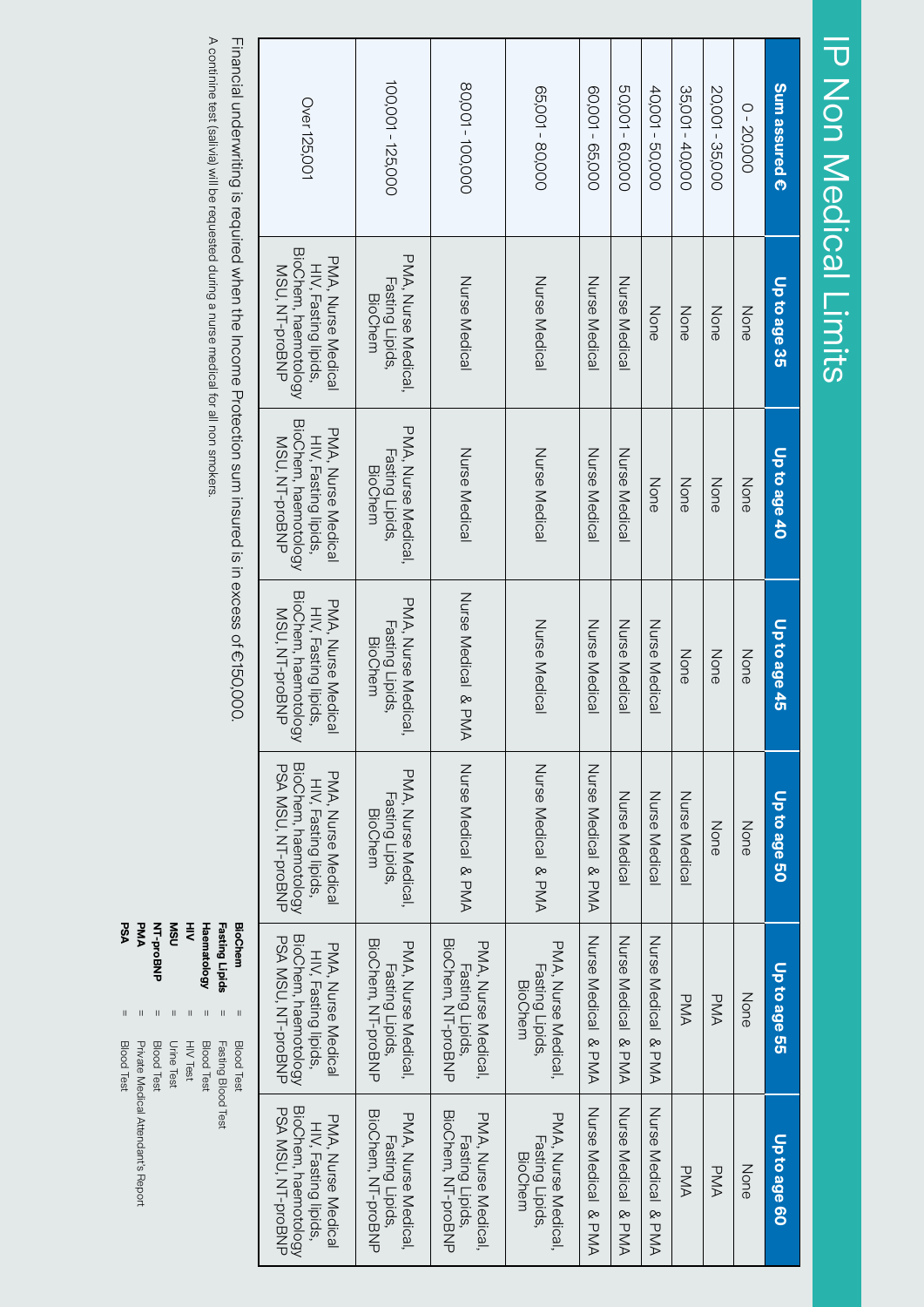| j<br>ľ |
|--------|
| j      |
| I      |
|        |
| ľ      |
| I      |
| j<br>İ |
| Ľ      |

| A continine test (salivia) will be requested during a nurse medical for all non smokers<br>Financial underwriting is required when the Income Protection sum insured is in excess of €150,000.                                                                                                                 | Over 125,001                                                                                           | 100,001 - 125,000                                            | 80,001 - 100,000                                             | 65,001 - 80,000                                                       | 60,001 - 65,000        | 50,001 - 60,000        | 40,001 - 50,000        | 35,001 - 40,000 | 20,001 - 35,000 | 0-20,000 | Sum assured € |
|----------------------------------------------------------------------------------------------------------------------------------------------------------------------------------------------------------------------------------------------------------------------------------------------------------------|--------------------------------------------------------------------------------------------------------|--------------------------------------------------------------|--------------------------------------------------------------|-----------------------------------------------------------------------|------------------------|------------------------|------------------------|-----------------|-----------------|----------|---------------|
|                                                                                                                                                                                                                                                                                                                | BioChem, haemotology<br>PMA, Nurse Medical<br>HIV, Fasting lipids,<br>MSU, NT-proBNP                   | PMA, Nurse Medical,<br>Fasting Lipids,<br><b>BioChem</b>     | Nurse Medical                                                | Nurse Medical                                                         | Nurse Medical          | Nurse Medical          | None                   | None            | None            | None     | Up to age 35  |
|                                                                                                                                                                                                                                                                                                                | BioChem, haemotology<br>PMA, Nuse Medical<br>HIV, Fasting lipids,<br>MSU, NT-proBNP                    | PMA, Nurse Medical,<br>Fasting Lipids,<br><b>BioChem</b>     | Nurse Medical                                                | Nurse Medical                                                         | Nurse Medica           | Nurse Medical          | None                   | None            | None            | None     | Up to age 40  |
|                                                                                                                                                                                                                                                                                                                | BioChem, haemotology<br>PMA, Nuse Medical<br>HIV, Fasting lipids,<br>MSU, NT-proBNP                    | PMA, Nurse Medical,<br>Fasting Lipids,<br><b>BioChem</b>     | Nurse Medical & PMA                                          | Nurse Medical                                                         | Nurse Medical          | Nurse Medical          | Nurse Medical          | None            | None            | None     | Up to age 45  |
|                                                                                                                                                                                                                                                                                                                | BioChem, haemotology<br>PSA MSU, NT-proBNP<br><b>PNA, Nuse Medical</b><br>HIV, Fasting lipids,         | PMA, Nurse Medical,<br>Fasting Lipids,<br><b>BioChem</b>     | Nurse Medical & PMA                                          | Nurse Medical & PMA                                                   | Nurse Medical<br>& PMA | Nurse Medical          | Nurse Medical          | Nurse Medical   | None            | None     | Up to age 50  |
| PSA<br><b>NT-proBNP</b><br><b>NSN</b><br><b>Haematology</b><br><b>BioChem</b><br>PMA<br>₹<br>Fasting Lipids<br>$\mathbf{I}$<br>$\vert$<br>Ш<br>$\mathbf{H}$<br>Ш<br>Ш<br>Ш<br>Blood Test<br><b>Urine Test</b><br><b>Blood Test</b><br><b>Blood Test</b><br><b>Blood Test</b><br>HIV Test<br>Fasting Blood Test | BioChem, haemotology<br>PSA NSC, NT-promNP<br><b>PMA, Nuse Medical</b><br>HIV, Fasting lipids,         | BioChem, NH-proBNP<br>PMA, Nurse Medical,<br>Fasting Lipids. | BioChem, NT-proBNP<br>PMA, Nurse Medical,<br>Fasting Lipids, | <b>PMA, Nurse Medical</b><br><b>Fasting Lipids,</b><br><b>BioChem</b> | Nurse Medical<br>& PMA | Nurse Medical<br>& PMA | Nurse Medical & PMA    | <b>PMA</b>      | <b>PMA</b>      | None     | Up to age 55  |
| Private Medical Attendant's Report                                                                                                                                                                                                                                                                             | BioChem, haemotology<br><b>PSA MSU, NT-proBNP</b><br><b>PMA, Nurse Medical</b><br>HIV, Fasting lipids, | BioChem, NT-proBNP<br>PMA, Nurse Medical,<br>Fasting Lipids, | BioChem, NT-proBNP<br>PMA, Nurse Medical,<br>Fasting Lipids, | PMA, Nurse Medical,<br>Fasting Lipids,<br><b>BioChem</b>              | Nurse Medical<br>& PMA | Nurse Medical<br>& PMA | Nurse Medical<br>& PMA | <b>PMA</b>      | <b>PMA</b>      | None     | Up to age 60  |

= HIV Test : HIV Test<br>Unine Test<br>Blood Test<br>Blood Test<br>Plood Test<br>Blood Test<br>Blood Test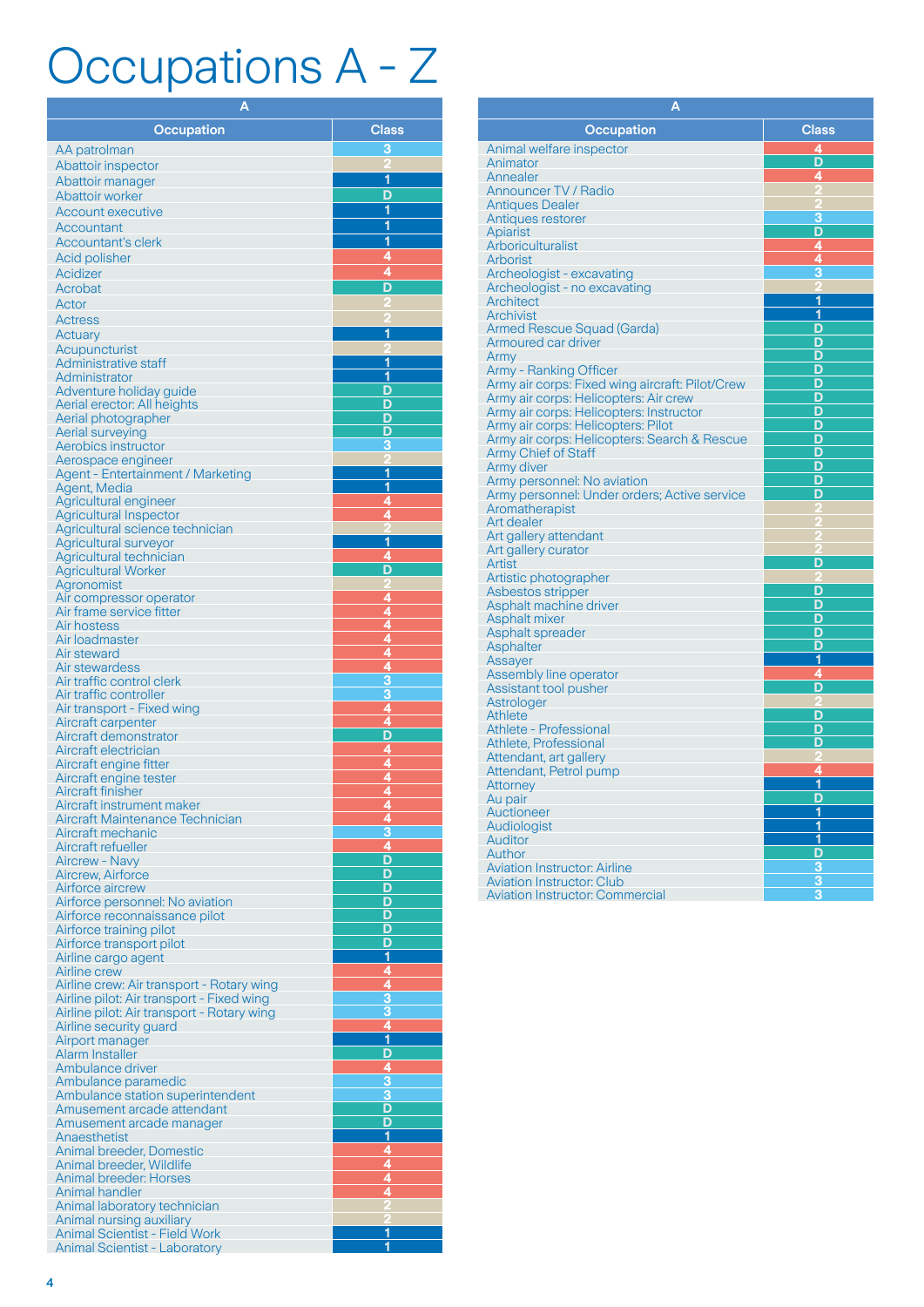## Occupations A - Z

| <b>Class</b><br><b>Occupation</b><br>3<br>AA patrolman<br>Abattoir inspector<br>1<br>Abattoir manager<br>D<br><b>Abattoir worker</b><br>1<br>Account executive<br>1<br>Accountant<br>$\overline{\mathbf{1}}$<br><b>Accountant's clerk</b><br>4<br><b>Acid polisher</b><br>4<br>Acidizer<br>D<br>Acrobat<br>Actor<br><b>Actress</b><br>1<br><b>Actuary</b><br>Acupuncturist<br>1<br>Administrative staff<br>1<br>Administrator<br>D<br>Adventure holiday guide<br>D<br>Aerial erector: All heights<br>D<br>Aerial photographer<br>D<br>Aerial surveying<br>3<br>Aerobics instructor<br>Aerospace engineer<br><u>1</u><br>Agent - Entertainment / Marketing<br>1<br>Agent, Media<br>4<br>Agricultural engineer<br>4<br><b>Agricultural Inspector</b><br>Agricultural science technician<br>1<br>Agricultural surveyor<br>4<br>Agricultural technician<br>D<br><b>Agricultural Worker</b><br>Agronomist<br>4<br>Air compressor operator<br>4<br>Air frame service fitter<br>4<br>Air hostess<br>4<br>Air loadmaster<br>4<br>Air steward<br>$\frac{4}{3}$<br>Air stewardess<br>Air traffic control clerk<br>3<br>Air traffic controller<br>$\frac{4}{4}$<br>Air transport - Fixed wing<br>Aircraft carpenter<br>D<br>Aircraft demonstrator<br>4<br>Aircraft electrician<br>4<br>Aircraft engine fitter<br>Aircraft engine tester<br>4<br>Aircraft finisher<br>Aircraft instrument maker<br>Aircraft Maintenance Technician<br>Aircraft mechanic<br>4<br>Aircraft refueller<br>D<br><b>Aircrew - Navy</b><br>D<br><b>Aircrew, Airforce</b><br>D<br>Airforce aircrew<br>Airforce personnel: No aviation<br>D<br>D<br>Airforce reconnaissance pilot<br>D<br>Airforce training pilot<br>D<br>Airforce transport pilot<br>1<br>Airline cargo agent<br>4<br><b>Airline crew</b><br>4<br>Airline crew: Air transport - Rotary wing<br>$\overline{\overline{3}}$<br>Airline pilot: Air transport - Fixed wing<br>3<br>Airline pilot: Air transport - Rotary wing<br>$\overline{4}$<br>Airline security guard<br>1<br>Airport manager<br>D<br>Alarm Installer<br>4<br>Ambulance driver<br>3<br>Ambulance paramedic<br>3<br>Ambulance station superintendent<br>D<br>Amusement arcade attendant<br>D<br>Amusement arcade manager<br><u>1</u><br>Anaesthetist<br><u>4</u><br>Animal breeder, Domestic<br>4<br>Animal breeder, Wildlife<br>4<br><b>Animal breeder: Horses</b><br>4<br><b>Animal handler</b><br>Animal laboratory technician<br>Animal nursing auxiliary<br>1<br><b>Animal Scientist - Field Work</b><br><b>Animal Scientist - Laboratory</b> | Α |  |
|----------------------------------------------------------------------------------------------------------------------------------------------------------------------------------------------------------------------------------------------------------------------------------------------------------------------------------------------------------------------------------------------------------------------------------------------------------------------------------------------------------------------------------------------------------------------------------------------------------------------------------------------------------------------------------------------------------------------------------------------------------------------------------------------------------------------------------------------------------------------------------------------------------------------------------------------------------------------------------------------------------------------------------------------------------------------------------------------------------------------------------------------------------------------------------------------------------------------------------------------------------------------------------------------------------------------------------------------------------------------------------------------------------------------------------------------------------------------------------------------------------------------------------------------------------------------------------------------------------------------------------------------------------------------------------------------------------------------------------------------------------------------------------------------------------------------------------------------------------------------------------------------------------------------------------------------------------------------------------------------------------------------------------------------------------------------------------------------------------------------------------------------------------------------------------------------------------------------------------------------------------------------------------------------------------------------------------------------------------------------------------------------------------------------------------------------------------------------------------------------------------------------------------------------|---|--|
|                                                                                                                                                                                                                                                                                                                                                                                                                                                                                                                                                                                                                                                                                                                                                                                                                                                                                                                                                                                                                                                                                                                                                                                                                                                                                                                                                                                                                                                                                                                                                                                                                                                                                                                                                                                                                                                                                                                                                                                                                                                                                                                                                                                                                                                                                                                                                                                                                                                                                                                                              |   |  |
|                                                                                                                                                                                                                                                                                                                                                                                                                                                                                                                                                                                                                                                                                                                                                                                                                                                                                                                                                                                                                                                                                                                                                                                                                                                                                                                                                                                                                                                                                                                                                                                                                                                                                                                                                                                                                                                                                                                                                                                                                                                                                                                                                                                                                                                                                                                                                                                                                                                                                                                                              |   |  |
|                                                                                                                                                                                                                                                                                                                                                                                                                                                                                                                                                                                                                                                                                                                                                                                                                                                                                                                                                                                                                                                                                                                                                                                                                                                                                                                                                                                                                                                                                                                                                                                                                                                                                                                                                                                                                                                                                                                                                                                                                                                                                                                                                                                                                                                                                                                                                                                                                                                                                                                                              |   |  |
|                                                                                                                                                                                                                                                                                                                                                                                                                                                                                                                                                                                                                                                                                                                                                                                                                                                                                                                                                                                                                                                                                                                                                                                                                                                                                                                                                                                                                                                                                                                                                                                                                                                                                                                                                                                                                                                                                                                                                                                                                                                                                                                                                                                                                                                                                                                                                                                                                                                                                                                                              |   |  |
|                                                                                                                                                                                                                                                                                                                                                                                                                                                                                                                                                                                                                                                                                                                                                                                                                                                                                                                                                                                                                                                                                                                                                                                                                                                                                                                                                                                                                                                                                                                                                                                                                                                                                                                                                                                                                                                                                                                                                                                                                                                                                                                                                                                                                                                                                                                                                                                                                                                                                                                                              |   |  |
|                                                                                                                                                                                                                                                                                                                                                                                                                                                                                                                                                                                                                                                                                                                                                                                                                                                                                                                                                                                                                                                                                                                                                                                                                                                                                                                                                                                                                                                                                                                                                                                                                                                                                                                                                                                                                                                                                                                                                                                                                                                                                                                                                                                                                                                                                                                                                                                                                                                                                                                                              |   |  |
|                                                                                                                                                                                                                                                                                                                                                                                                                                                                                                                                                                                                                                                                                                                                                                                                                                                                                                                                                                                                                                                                                                                                                                                                                                                                                                                                                                                                                                                                                                                                                                                                                                                                                                                                                                                                                                                                                                                                                                                                                                                                                                                                                                                                                                                                                                                                                                                                                                                                                                                                              |   |  |
|                                                                                                                                                                                                                                                                                                                                                                                                                                                                                                                                                                                                                                                                                                                                                                                                                                                                                                                                                                                                                                                                                                                                                                                                                                                                                                                                                                                                                                                                                                                                                                                                                                                                                                                                                                                                                                                                                                                                                                                                                                                                                                                                                                                                                                                                                                                                                                                                                                                                                                                                              |   |  |
|                                                                                                                                                                                                                                                                                                                                                                                                                                                                                                                                                                                                                                                                                                                                                                                                                                                                                                                                                                                                                                                                                                                                                                                                                                                                                                                                                                                                                                                                                                                                                                                                                                                                                                                                                                                                                                                                                                                                                                                                                                                                                                                                                                                                                                                                                                                                                                                                                                                                                                                                              |   |  |
|                                                                                                                                                                                                                                                                                                                                                                                                                                                                                                                                                                                                                                                                                                                                                                                                                                                                                                                                                                                                                                                                                                                                                                                                                                                                                                                                                                                                                                                                                                                                                                                                                                                                                                                                                                                                                                                                                                                                                                                                                                                                                                                                                                                                                                                                                                                                                                                                                                                                                                                                              |   |  |
|                                                                                                                                                                                                                                                                                                                                                                                                                                                                                                                                                                                                                                                                                                                                                                                                                                                                                                                                                                                                                                                                                                                                                                                                                                                                                                                                                                                                                                                                                                                                                                                                                                                                                                                                                                                                                                                                                                                                                                                                                                                                                                                                                                                                                                                                                                                                                                                                                                                                                                                                              |   |  |
|                                                                                                                                                                                                                                                                                                                                                                                                                                                                                                                                                                                                                                                                                                                                                                                                                                                                                                                                                                                                                                                                                                                                                                                                                                                                                                                                                                                                                                                                                                                                                                                                                                                                                                                                                                                                                                                                                                                                                                                                                                                                                                                                                                                                                                                                                                                                                                                                                                                                                                                                              |   |  |
|                                                                                                                                                                                                                                                                                                                                                                                                                                                                                                                                                                                                                                                                                                                                                                                                                                                                                                                                                                                                                                                                                                                                                                                                                                                                                                                                                                                                                                                                                                                                                                                                                                                                                                                                                                                                                                                                                                                                                                                                                                                                                                                                                                                                                                                                                                                                                                                                                                                                                                                                              |   |  |
|                                                                                                                                                                                                                                                                                                                                                                                                                                                                                                                                                                                                                                                                                                                                                                                                                                                                                                                                                                                                                                                                                                                                                                                                                                                                                                                                                                                                                                                                                                                                                                                                                                                                                                                                                                                                                                                                                                                                                                                                                                                                                                                                                                                                                                                                                                                                                                                                                                                                                                                                              |   |  |
|                                                                                                                                                                                                                                                                                                                                                                                                                                                                                                                                                                                                                                                                                                                                                                                                                                                                                                                                                                                                                                                                                                                                                                                                                                                                                                                                                                                                                                                                                                                                                                                                                                                                                                                                                                                                                                                                                                                                                                                                                                                                                                                                                                                                                                                                                                                                                                                                                                                                                                                                              |   |  |
|                                                                                                                                                                                                                                                                                                                                                                                                                                                                                                                                                                                                                                                                                                                                                                                                                                                                                                                                                                                                                                                                                                                                                                                                                                                                                                                                                                                                                                                                                                                                                                                                                                                                                                                                                                                                                                                                                                                                                                                                                                                                                                                                                                                                                                                                                                                                                                                                                                                                                                                                              |   |  |
|                                                                                                                                                                                                                                                                                                                                                                                                                                                                                                                                                                                                                                                                                                                                                                                                                                                                                                                                                                                                                                                                                                                                                                                                                                                                                                                                                                                                                                                                                                                                                                                                                                                                                                                                                                                                                                                                                                                                                                                                                                                                                                                                                                                                                                                                                                                                                                                                                                                                                                                                              |   |  |
|                                                                                                                                                                                                                                                                                                                                                                                                                                                                                                                                                                                                                                                                                                                                                                                                                                                                                                                                                                                                                                                                                                                                                                                                                                                                                                                                                                                                                                                                                                                                                                                                                                                                                                                                                                                                                                                                                                                                                                                                                                                                                                                                                                                                                                                                                                                                                                                                                                                                                                                                              |   |  |
|                                                                                                                                                                                                                                                                                                                                                                                                                                                                                                                                                                                                                                                                                                                                                                                                                                                                                                                                                                                                                                                                                                                                                                                                                                                                                                                                                                                                                                                                                                                                                                                                                                                                                                                                                                                                                                                                                                                                                                                                                                                                                                                                                                                                                                                                                                                                                                                                                                                                                                                                              |   |  |
|                                                                                                                                                                                                                                                                                                                                                                                                                                                                                                                                                                                                                                                                                                                                                                                                                                                                                                                                                                                                                                                                                                                                                                                                                                                                                                                                                                                                                                                                                                                                                                                                                                                                                                                                                                                                                                                                                                                                                                                                                                                                                                                                                                                                                                                                                                                                                                                                                                                                                                                                              |   |  |
|                                                                                                                                                                                                                                                                                                                                                                                                                                                                                                                                                                                                                                                                                                                                                                                                                                                                                                                                                                                                                                                                                                                                                                                                                                                                                                                                                                                                                                                                                                                                                                                                                                                                                                                                                                                                                                                                                                                                                                                                                                                                                                                                                                                                                                                                                                                                                                                                                                                                                                                                              |   |  |
|                                                                                                                                                                                                                                                                                                                                                                                                                                                                                                                                                                                                                                                                                                                                                                                                                                                                                                                                                                                                                                                                                                                                                                                                                                                                                                                                                                                                                                                                                                                                                                                                                                                                                                                                                                                                                                                                                                                                                                                                                                                                                                                                                                                                                                                                                                                                                                                                                                                                                                                                              |   |  |
|                                                                                                                                                                                                                                                                                                                                                                                                                                                                                                                                                                                                                                                                                                                                                                                                                                                                                                                                                                                                                                                                                                                                                                                                                                                                                                                                                                                                                                                                                                                                                                                                                                                                                                                                                                                                                                                                                                                                                                                                                                                                                                                                                                                                                                                                                                                                                                                                                                                                                                                                              |   |  |
|                                                                                                                                                                                                                                                                                                                                                                                                                                                                                                                                                                                                                                                                                                                                                                                                                                                                                                                                                                                                                                                                                                                                                                                                                                                                                                                                                                                                                                                                                                                                                                                                                                                                                                                                                                                                                                                                                                                                                                                                                                                                                                                                                                                                                                                                                                                                                                                                                                                                                                                                              |   |  |
|                                                                                                                                                                                                                                                                                                                                                                                                                                                                                                                                                                                                                                                                                                                                                                                                                                                                                                                                                                                                                                                                                                                                                                                                                                                                                                                                                                                                                                                                                                                                                                                                                                                                                                                                                                                                                                                                                                                                                                                                                                                                                                                                                                                                                                                                                                                                                                                                                                                                                                                                              |   |  |
|                                                                                                                                                                                                                                                                                                                                                                                                                                                                                                                                                                                                                                                                                                                                                                                                                                                                                                                                                                                                                                                                                                                                                                                                                                                                                                                                                                                                                                                                                                                                                                                                                                                                                                                                                                                                                                                                                                                                                                                                                                                                                                                                                                                                                                                                                                                                                                                                                                                                                                                                              |   |  |
|                                                                                                                                                                                                                                                                                                                                                                                                                                                                                                                                                                                                                                                                                                                                                                                                                                                                                                                                                                                                                                                                                                                                                                                                                                                                                                                                                                                                                                                                                                                                                                                                                                                                                                                                                                                                                                                                                                                                                                                                                                                                                                                                                                                                                                                                                                                                                                                                                                                                                                                                              |   |  |
|                                                                                                                                                                                                                                                                                                                                                                                                                                                                                                                                                                                                                                                                                                                                                                                                                                                                                                                                                                                                                                                                                                                                                                                                                                                                                                                                                                                                                                                                                                                                                                                                                                                                                                                                                                                                                                                                                                                                                                                                                                                                                                                                                                                                                                                                                                                                                                                                                                                                                                                                              |   |  |
|                                                                                                                                                                                                                                                                                                                                                                                                                                                                                                                                                                                                                                                                                                                                                                                                                                                                                                                                                                                                                                                                                                                                                                                                                                                                                                                                                                                                                                                                                                                                                                                                                                                                                                                                                                                                                                                                                                                                                                                                                                                                                                                                                                                                                                                                                                                                                                                                                                                                                                                                              |   |  |
|                                                                                                                                                                                                                                                                                                                                                                                                                                                                                                                                                                                                                                                                                                                                                                                                                                                                                                                                                                                                                                                                                                                                                                                                                                                                                                                                                                                                                                                                                                                                                                                                                                                                                                                                                                                                                                                                                                                                                                                                                                                                                                                                                                                                                                                                                                                                                                                                                                                                                                                                              |   |  |
|                                                                                                                                                                                                                                                                                                                                                                                                                                                                                                                                                                                                                                                                                                                                                                                                                                                                                                                                                                                                                                                                                                                                                                                                                                                                                                                                                                                                                                                                                                                                                                                                                                                                                                                                                                                                                                                                                                                                                                                                                                                                                                                                                                                                                                                                                                                                                                                                                                                                                                                                              |   |  |
|                                                                                                                                                                                                                                                                                                                                                                                                                                                                                                                                                                                                                                                                                                                                                                                                                                                                                                                                                                                                                                                                                                                                                                                                                                                                                                                                                                                                                                                                                                                                                                                                                                                                                                                                                                                                                                                                                                                                                                                                                                                                                                                                                                                                                                                                                                                                                                                                                                                                                                                                              |   |  |
|                                                                                                                                                                                                                                                                                                                                                                                                                                                                                                                                                                                                                                                                                                                                                                                                                                                                                                                                                                                                                                                                                                                                                                                                                                                                                                                                                                                                                                                                                                                                                                                                                                                                                                                                                                                                                                                                                                                                                                                                                                                                                                                                                                                                                                                                                                                                                                                                                                                                                                                                              |   |  |
|                                                                                                                                                                                                                                                                                                                                                                                                                                                                                                                                                                                                                                                                                                                                                                                                                                                                                                                                                                                                                                                                                                                                                                                                                                                                                                                                                                                                                                                                                                                                                                                                                                                                                                                                                                                                                                                                                                                                                                                                                                                                                                                                                                                                                                                                                                                                                                                                                                                                                                                                              |   |  |
|                                                                                                                                                                                                                                                                                                                                                                                                                                                                                                                                                                                                                                                                                                                                                                                                                                                                                                                                                                                                                                                                                                                                                                                                                                                                                                                                                                                                                                                                                                                                                                                                                                                                                                                                                                                                                                                                                                                                                                                                                                                                                                                                                                                                                                                                                                                                                                                                                                                                                                                                              |   |  |
|                                                                                                                                                                                                                                                                                                                                                                                                                                                                                                                                                                                                                                                                                                                                                                                                                                                                                                                                                                                                                                                                                                                                                                                                                                                                                                                                                                                                                                                                                                                                                                                                                                                                                                                                                                                                                                                                                                                                                                                                                                                                                                                                                                                                                                                                                                                                                                                                                                                                                                                                              |   |  |
|                                                                                                                                                                                                                                                                                                                                                                                                                                                                                                                                                                                                                                                                                                                                                                                                                                                                                                                                                                                                                                                                                                                                                                                                                                                                                                                                                                                                                                                                                                                                                                                                                                                                                                                                                                                                                                                                                                                                                                                                                                                                                                                                                                                                                                                                                                                                                                                                                                                                                                                                              |   |  |
|                                                                                                                                                                                                                                                                                                                                                                                                                                                                                                                                                                                                                                                                                                                                                                                                                                                                                                                                                                                                                                                                                                                                                                                                                                                                                                                                                                                                                                                                                                                                                                                                                                                                                                                                                                                                                                                                                                                                                                                                                                                                                                                                                                                                                                                                                                                                                                                                                                                                                                                                              |   |  |
|                                                                                                                                                                                                                                                                                                                                                                                                                                                                                                                                                                                                                                                                                                                                                                                                                                                                                                                                                                                                                                                                                                                                                                                                                                                                                                                                                                                                                                                                                                                                                                                                                                                                                                                                                                                                                                                                                                                                                                                                                                                                                                                                                                                                                                                                                                                                                                                                                                                                                                                                              |   |  |
|                                                                                                                                                                                                                                                                                                                                                                                                                                                                                                                                                                                                                                                                                                                                                                                                                                                                                                                                                                                                                                                                                                                                                                                                                                                                                                                                                                                                                                                                                                                                                                                                                                                                                                                                                                                                                                                                                                                                                                                                                                                                                                                                                                                                                                                                                                                                                                                                                                                                                                                                              |   |  |
|                                                                                                                                                                                                                                                                                                                                                                                                                                                                                                                                                                                                                                                                                                                                                                                                                                                                                                                                                                                                                                                                                                                                                                                                                                                                                                                                                                                                                                                                                                                                                                                                                                                                                                                                                                                                                                                                                                                                                                                                                                                                                                                                                                                                                                                                                                                                                                                                                                                                                                                                              |   |  |
|                                                                                                                                                                                                                                                                                                                                                                                                                                                                                                                                                                                                                                                                                                                                                                                                                                                                                                                                                                                                                                                                                                                                                                                                                                                                                                                                                                                                                                                                                                                                                                                                                                                                                                                                                                                                                                                                                                                                                                                                                                                                                                                                                                                                                                                                                                                                                                                                                                                                                                                                              |   |  |
|                                                                                                                                                                                                                                                                                                                                                                                                                                                                                                                                                                                                                                                                                                                                                                                                                                                                                                                                                                                                                                                                                                                                                                                                                                                                                                                                                                                                                                                                                                                                                                                                                                                                                                                                                                                                                                                                                                                                                                                                                                                                                                                                                                                                                                                                                                                                                                                                                                                                                                                                              |   |  |
|                                                                                                                                                                                                                                                                                                                                                                                                                                                                                                                                                                                                                                                                                                                                                                                                                                                                                                                                                                                                                                                                                                                                                                                                                                                                                                                                                                                                                                                                                                                                                                                                                                                                                                                                                                                                                                                                                                                                                                                                                                                                                                                                                                                                                                                                                                                                                                                                                                                                                                                                              |   |  |
|                                                                                                                                                                                                                                                                                                                                                                                                                                                                                                                                                                                                                                                                                                                                                                                                                                                                                                                                                                                                                                                                                                                                                                                                                                                                                                                                                                                                                                                                                                                                                                                                                                                                                                                                                                                                                                                                                                                                                                                                                                                                                                                                                                                                                                                                                                                                                                                                                                                                                                                                              |   |  |
|                                                                                                                                                                                                                                                                                                                                                                                                                                                                                                                                                                                                                                                                                                                                                                                                                                                                                                                                                                                                                                                                                                                                                                                                                                                                                                                                                                                                                                                                                                                                                                                                                                                                                                                                                                                                                                                                                                                                                                                                                                                                                                                                                                                                                                                                                                                                                                                                                                                                                                                                              |   |  |
|                                                                                                                                                                                                                                                                                                                                                                                                                                                                                                                                                                                                                                                                                                                                                                                                                                                                                                                                                                                                                                                                                                                                                                                                                                                                                                                                                                                                                                                                                                                                                                                                                                                                                                                                                                                                                                                                                                                                                                                                                                                                                                                                                                                                                                                                                                                                                                                                                                                                                                                                              |   |  |
|                                                                                                                                                                                                                                                                                                                                                                                                                                                                                                                                                                                                                                                                                                                                                                                                                                                                                                                                                                                                                                                                                                                                                                                                                                                                                                                                                                                                                                                                                                                                                                                                                                                                                                                                                                                                                                                                                                                                                                                                                                                                                                                                                                                                                                                                                                                                                                                                                                                                                                                                              |   |  |
|                                                                                                                                                                                                                                                                                                                                                                                                                                                                                                                                                                                                                                                                                                                                                                                                                                                                                                                                                                                                                                                                                                                                                                                                                                                                                                                                                                                                                                                                                                                                                                                                                                                                                                                                                                                                                                                                                                                                                                                                                                                                                                                                                                                                                                                                                                                                                                                                                                                                                                                                              |   |  |
|                                                                                                                                                                                                                                                                                                                                                                                                                                                                                                                                                                                                                                                                                                                                                                                                                                                                                                                                                                                                                                                                                                                                                                                                                                                                                                                                                                                                                                                                                                                                                                                                                                                                                                                                                                                                                                                                                                                                                                                                                                                                                                                                                                                                                                                                                                                                                                                                                                                                                                                                              |   |  |
|                                                                                                                                                                                                                                                                                                                                                                                                                                                                                                                                                                                                                                                                                                                                                                                                                                                                                                                                                                                                                                                                                                                                                                                                                                                                                                                                                                                                                                                                                                                                                                                                                                                                                                                                                                                                                                                                                                                                                                                                                                                                                                                                                                                                                                                                                                                                                                                                                                                                                                                                              |   |  |
|                                                                                                                                                                                                                                                                                                                                                                                                                                                                                                                                                                                                                                                                                                                                                                                                                                                                                                                                                                                                                                                                                                                                                                                                                                                                                                                                                                                                                                                                                                                                                                                                                                                                                                                                                                                                                                                                                                                                                                                                                                                                                                                                                                                                                                                                                                                                                                                                                                                                                                                                              |   |  |
|                                                                                                                                                                                                                                                                                                                                                                                                                                                                                                                                                                                                                                                                                                                                                                                                                                                                                                                                                                                                                                                                                                                                                                                                                                                                                                                                                                                                                                                                                                                                                                                                                                                                                                                                                                                                                                                                                                                                                                                                                                                                                                                                                                                                                                                                                                                                                                                                                                                                                                                                              |   |  |
|                                                                                                                                                                                                                                                                                                                                                                                                                                                                                                                                                                                                                                                                                                                                                                                                                                                                                                                                                                                                                                                                                                                                                                                                                                                                                                                                                                                                                                                                                                                                                                                                                                                                                                                                                                                                                                                                                                                                                                                                                                                                                                                                                                                                                                                                                                                                                                                                                                                                                                                                              |   |  |
|                                                                                                                                                                                                                                                                                                                                                                                                                                                                                                                                                                                                                                                                                                                                                                                                                                                                                                                                                                                                                                                                                                                                                                                                                                                                                                                                                                                                                                                                                                                                                                                                                                                                                                                                                                                                                                                                                                                                                                                                                                                                                                                                                                                                                                                                                                                                                                                                                                                                                                                                              |   |  |
|                                                                                                                                                                                                                                                                                                                                                                                                                                                                                                                                                                                                                                                                                                                                                                                                                                                                                                                                                                                                                                                                                                                                                                                                                                                                                                                                                                                                                                                                                                                                                                                                                                                                                                                                                                                                                                                                                                                                                                                                                                                                                                                                                                                                                                                                                                                                                                                                                                                                                                                                              |   |  |
|                                                                                                                                                                                                                                                                                                                                                                                                                                                                                                                                                                                                                                                                                                                                                                                                                                                                                                                                                                                                                                                                                                                                                                                                                                                                                                                                                                                                                                                                                                                                                                                                                                                                                                                                                                                                                                                                                                                                                                                                                                                                                                                                                                                                                                                                                                                                                                                                                                                                                                                                              |   |  |
|                                                                                                                                                                                                                                                                                                                                                                                                                                                                                                                                                                                                                                                                                                                                                                                                                                                                                                                                                                                                                                                                                                                                                                                                                                                                                                                                                                                                                                                                                                                                                                                                                                                                                                                                                                                                                                                                                                                                                                                                                                                                                                                                                                                                                                                                                                                                                                                                                                                                                                                                              |   |  |
|                                                                                                                                                                                                                                                                                                                                                                                                                                                                                                                                                                                                                                                                                                                                                                                                                                                                                                                                                                                                                                                                                                                                                                                                                                                                                                                                                                                                                                                                                                                                                                                                                                                                                                                                                                                                                                                                                                                                                                                                                                                                                                                                                                                                                                                                                                                                                                                                                                                                                                                                              |   |  |
|                                                                                                                                                                                                                                                                                                                                                                                                                                                                                                                                                                                                                                                                                                                                                                                                                                                                                                                                                                                                                                                                                                                                                                                                                                                                                                                                                                                                                                                                                                                                                                                                                                                                                                                                                                                                                                                                                                                                                                                                                                                                                                                                                                                                                                                                                                                                                                                                                                                                                                                                              |   |  |
|                                                                                                                                                                                                                                                                                                                                                                                                                                                                                                                                                                                                                                                                                                                                                                                                                                                                                                                                                                                                                                                                                                                                                                                                                                                                                                                                                                                                                                                                                                                                                                                                                                                                                                                                                                                                                                                                                                                                                                                                                                                                                                                                                                                                                                                                                                                                                                                                                                                                                                                                              |   |  |
|                                                                                                                                                                                                                                                                                                                                                                                                                                                                                                                                                                                                                                                                                                                                                                                                                                                                                                                                                                                                                                                                                                                                                                                                                                                                                                                                                                                                                                                                                                                                                                                                                                                                                                                                                                                                                                                                                                                                                                                                                                                                                                                                                                                                                                                                                                                                                                                                                                                                                                                                              |   |  |
|                                                                                                                                                                                                                                                                                                                                                                                                                                                                                                                                                                                                                                                                                                                                                                                                                                                                                                                                                                                                                                                                                                                                                                                                                                                                                                                                                                                                                                                                                                                                                                                                                                                                                                                                                                                                                                                                                                                                                                                                                                                                                                                                                                                                                                                                                                                                                                                                                                                                                                                                              |   |  |
|                                                                                                                                                                                                                                                                                                                                                                                                                                                                                                                                                                                                                                                                                                                                                                                                                                                                                                                                                                                                                                                                                                                                                                                                                                                                                                                                                                                                                                                                                                                                                                                                                                                                                                                                                                                                                                                                                                                                                                                                                                                                                                                                                                                                                                                                                                                                                                                                                                                                                                                                              |   |  |
|                                                                                                                                                                                                                                                                                                                                                                                                                                                                                                                                                                                                                                                                                                                                                                                                                                                                                                                                                                                                                                                                                                                                                                                                                                                                                                                                                                                                                                                                                                                                                                                                                                                                                                                                                                                                                                                                                                                                                                                                                                                                                                                                                                                                                                                                                                                                                                                                                                                                                                                                              |   |  |
|                                                                                                                                                                                                                                                                                                                                                                                                                                                                                                                                                                                                                                                                                                                                                                                                                                                                                                                                                                                                                                                                                                                                                                                                                                                                                                                                                                                                                                                                                                                                                                                                                                                                                                                                                                                                                                                                                                                                                                                                                                                                                                                                                                                                                                                                                                                                                                                                                                                                                                                                              |   |  |
|                                                                                                                                                                                                                                                                                                                                                                                                                                                                                                                                                                                                                                                                                                                                                                                                                                                                                                                                                                                                                                                                                                                                                                                                                                                                                                                                                                                                                                                                                                                                                                                                                                                                                                                                                                                                                                                                                                                                                                                                                                                                                                                                                                                                                                                                                                                                                                                                                                                                                                                                              |   |  |
|                                                                                                                                                                                                                                                                                                                                                                                                                                                                                                                                                                                                                                                                                                                                                                                                                                                                                                                                                                                                                                                                                                                                                                                                                                                                                                                                                                                                                                                                                                                                                                                                                                                                                                                                                                                                                                                                                                                                                                                                                                                                                                                                                                                                                                                                                                                                                                                                                                                                                                                                              |   |  |
|                                                                                                                                                                                                                                                                                                                                                                                                                                                                                                                                                                                                                                                                                                                                                                                                                                                                                                                                                                                                                                                                                                                                                                                                                                                                                                                                                                                                                                                                                                                                                                                                                                                                                                                                                                                                                                                                                                                                                                                                                                                                                                                                                                                                                                                                                                                                                                                                                                                                                                                                              |   |  |

| A                                                |              |  |  |  |
|--------------------------------------------------|--------------|--|--|--|
| Occupation                                       | <b>Class</b> |  |  |  |
| Animal welfare inspector                         | 4            |  |  |  |
| Animator                                         | D            |  |  |  |
| Annealer                                         | 4            |  |  |  |
| <b>Announcer TV / Radio</b>                      |              |  |  |  |
| <b>Antiques Dealer</b>                           |              |  |  |  |
| Antiques restorer                                | 3            |  |  |  |
| Apiarist                                         | D            |  |  |  |
| Arboriculturalist                                | 4            |  |  |  |
| <b>Arborist</b>                                  | 4            |  |  |  |
| Archeologist - excavating                        | 3            |  |  |  |
| Archeologist - no excavating                     |              |  |  |  |
| Architect                                        | 1            |  |  |  |
| <b>Archivist</b>                                 | 1            |  |  |  |
| Armed Rescue Squad (Garda)                       | D            |  |  |  |
| Armoured car driver                              | D            |  |  |  |
| Army                                             | D            |  |  |  |
| Army - Ranking Officer                           | D            |  |  |  |
| Army air corps: Fixed wing aircraft: Pilot/Crew  | D            |  |  |  |
| Army air corps: Helicopters: Air crew            | D            |  |  |  |
| Army air corps: Helicopters: Instructor          | D            |  |  |  |
| Army air corps: Helicopters: Pilot               | D            |  |  |  |
| Army air corps: Helicopters: Search & Rescue     | D            |  |  |  |
| <b>Army Chief of Staff</b>                       | D            |  |  |  |
| Army diver                                       | D            |  |  |  |
| Army personnel: No aviation                      | D            |  |  |  |
| Army personnel: Under orders; Active service     | D            |  |  |  |
| Aromatherapist                                   |              |  |  |  |
| Art dealer                                       |              |  |  |  |
| Art gallery attendant                            |              |  |  |  |
| Art gallery curator                              |              |  |  |  |
| Artist                                           | D            |  |  |  |
| Artistic photographer                            |              |  |  |  |
| Asbestos stripper                                | D            |  |  |  |
| Asphalt machine driver                           | D            |  |  |  |
| Asphalt mixer                                    | D            |  |  |  |
| Asphalt spreader                                 | D<br>D       |  |  |  |
| Asphalter                                        | 1            |  |  |  |
| Assayer                                          |              |  |  |  |
| Assembly line operator                           | 4<br>D       |  |  |  |
| Assistant tool pusher                            |              |  |  |  |
| Astrologer<br>Athlete                            | D            |  |  |  |
| Athlete - Professional                           | D            |  |  |  |
| Athlete, Professional                            | D            |  |  |  |
|                                                  |              |  |  |  |
| Attendant, art gallery<br>Attendant, Petrol pump | 4            |  |  |  |
| <b>Attorney</b>                                  | 1            |  |  |  |
| Au pair                                          | D            |  |  |  |
| Auctioneer                                       | <u>1</u>     |  |  |  |
| Audiologist                                      | 1            |  |  |  |
| <b>Auditor</b>                                   | 1            |  |  |  |
| <b>Author</b>                                    | D            |  |  |  |
| <b>Aviation Instructor: Airline</b>              | 3            |  |  |  |
| <b>Aviation Instructor: Club</b>                 | 3            |  |  |  |
| <b>Aviation Instructor: Commercial</b>           | 3            |  |  |  |
|                                                  |              |  |  |  |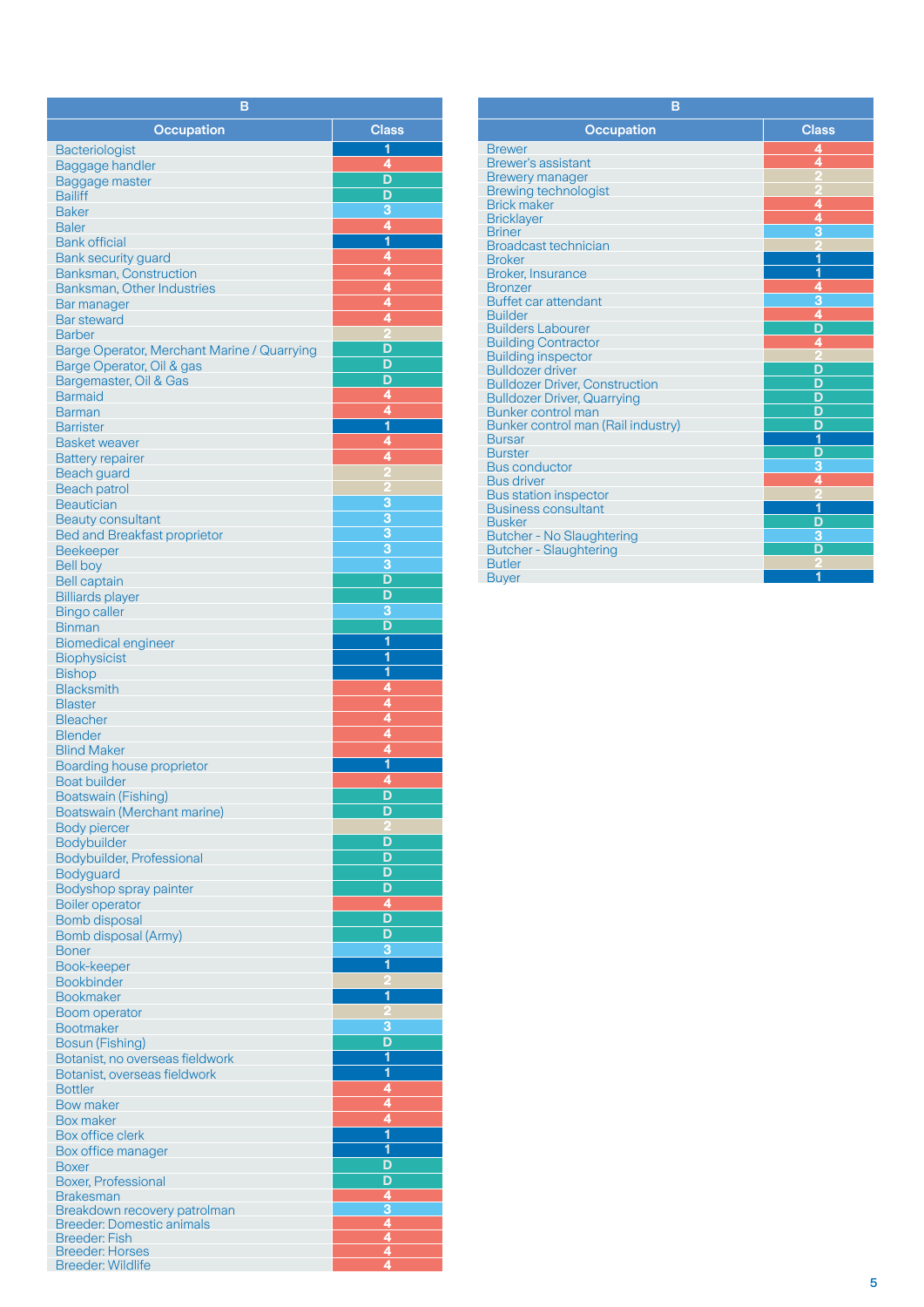| в                                                  |                              |
|----------------------------------------------------|------------------------------|
| <b>Occupation</b>                                  | <b>Class</b>                 |
| <b>Bacteriologist</b>                              | 1                            |
| <b>Baggage handler</b>                             | 4                            |
| Baggage master                                     | D                            |
| <b>Bailiff</b>                                     | D                            |
| <b>Baker</b>                                       | 3                            |
| <b>Baler</b>                                       | $\overline{4}$               |
| <b>Bank official</b>                               | $\overline{\mathbf{1}}$      |
| <b>Bank security guard</b>                         | 4                            |
| <b>Banksman, Construction</b>                      | $\overline{4}$               |
| Banksman, Other Industries                         | 4<br>4                       |
| Bar manager<br><b>Bar steward</b>                  | 4                            |
| <b>Barber</b>                                      |                              |
| Barge Operator, Merchant Marine / Quarrying        | D                            |
| Barge Operator, Oil & gas                          | D                            |
| Bargemaster, Oil & Gas                             | D                            |
| <b>Barmaid</b>                                     | 4                            |
| <b>Barman</b>                                      | 4                            |
| <b>Barrister</b>                                   | 1<br>4                       |
| <b>Basket weaver</b><br><b>Battery repairer</b>    | 4                            |
| <b>Beach guard</b>                                 |                              |
| <b>Beach patrol</b>                                |                              |
| <b>Beautician</b>                                  | 3                            |
| <b>Beauty consultant</b>                           | $\overline{3}$               |
| <b>Bed and Breakfast proprietor</b>                | $\overline{3}$               |
| Beekeeper                                          | 3                            |
| <b>Bell boy</b>                                    | 3                            |
| <b>Bell captain</b>                                | D                            |
| <b>Billiards player</b>                            | D<br>3                       |
| <b>Bingo caller</b><br><b>Binman</b>               | D                            |
| <b>Biomedical engineer</b>                         | 1                            |
| <b>Biophysicist</b>                                | $\overline{\mathbf{1}}$      |
| <b>Bishop</b>                                      | $\overline{\mathbf{1}}$      |
| <b>Blacksmith</b>                                  | 4                            |
| <b>Blaster</b>                                     | 4                            |
| <b>Bleacher</b>                                    | 4<br>4                       |
| <b>Blender</b><br><b>Blind Maker</b>               | 4                            |
| <b>Boarding house proprietor</b>                   | 1                            |
| <b>Boat builder</b>                                | 4                            |
| <b>Boatswain (Fishing)</b>                         | ח                            |
| Boatswain (Merchant marine)                        | D                            |
| <b>Body piercer</b>                                | D                            |
| Bodybuilder<br>Bodybuilder, Professional           | D                            |
| Bodyguard                                          | D                            |
| Bodyshop spray painter                             | D                            |
| <b>Boiler operator</b>                             | 4                            |
| Bomb disposal                                      | D                            |
| Bomb disposal (Army)                               | D                            |
| <b>Boner</b>                                       | 3<br>$\overline{\mathbf{1}}$ |
| Book-keeper<br><b>Bookbinder</b>                   |                              |
| <b>Bookmaker</b>                                   | 1                            |
| Boom operator                                      |                              |
| <b>Bootmaker</b>                                   | 3                            |
| Bosun (Fishing)                                    | D                            |
| Botanist, no overseas fieldwork                    | $\overline{\mathbf{1}}$      |
| Botanist, overseas fieldwork                       | $\overline{\mathbf{1}}$<br>4 |
| <b>Bottler</b><br><b>Bow maker</b>                 | 4                            |
| <b>Box maker</b>                                   | 4                            |
| <b>Box office clerk</b>                            | $\overline{\mathbf{1}}$      |
| Box office manager                                 | $\overline{\mathbf{1}}$      |
| Boxer                                              | D                            |
| <b>Boxer, Professional</b>                         | D<br>$\overline{4}$          |
| <b>Brakesman</b><br>Breakdown recovery patrolman   | 3                            |
| <b>Breeder: Domestic animals</b>                   | $\overline{\mathbf{4}}$      |
| <b>Breeder: Fish</b>                               | ģ                            |
| <b>Breeder: Horses</b><br><b>Breeder: Wildlife</b> | $\overline{4}$<br>4          |
|                                                    |                              |

| B                                     |                         |  |  |  |
|---------------------------------------|-------------------------|--|--|--|
| <b>Occupation</b>                     | <b>Class</b>            |  |  |  |
| <b>Brewer</b>                         | 4                       |  |  |  |
| <b>Brewer's assistant</b>             | 4                       |  |  |  |
| <b>Brewery manager</b>                |                         |  |  |  |
| <b>Brewing technologist</b>           |                         |  |  |  |
| <b>Brick maker</b>                    | 4                       |  |  |  |
| <b>Bricklayer</b>                     | 4                       |  |  |  |
| <b>Briner</b>                         |                         |  |  |  |
| <b>Broadcast technician</b>           |                         |  |  |  |
| <b>Broker</b>                         | 1                       |  |  |  |
| <b>Broker, Insurance</b>              | 1                       |  |  |  |
| <b>Bronzer</b>                        | $\frac{4}{3}$           |  |  |  |
| <b>Buffet car attendant</b>           |                         |  |  |  |
| <b>Builder</b>                        |                         |  |  |  |
| <b>Builders Labourer</b>              | D                       |  |  |  |
| <b>Building Contractor</b>            | 4                       |  |  |  |
| <b>Building inspector</b>             |                         |  |  |  |
| <b>Bulldozer driver</b>               | D                       |  |  |  |
| <b>Bulldozer Driver, Construction</b> | D                       |  |  |  |
| <b>Bulldozer Driver, Quarrying</b>    | D                       |  |  |  |
| Bunker control man                    | D                       |  |  |  |
| Bunker control man (Rail industry)    | $\overline{\mathsf{D}}$ |  |  |  |
| <b>Bursar</b>                         | 1                       |  |  |  |
| <b>Burster</b>                        | D                       |  |  |  |
| <b>Bus conductor</b>                  | $\overline{3}$          |  |  |  |
| <b>Bus driver</b>                     | 4                       |  |  |  |
| <b>Bus station inspector</b>          |                         |  |  |  |
| <b>Business consultant</b>            | 1                       |  |  |  |
| <b>Busker</b>                         | $\frac{D}{3}$           |  |  |  |
| <b>Butcher - No Slaughtering</b>      | $\overline{\mathsf{D}}$ |  |  |  |
| <b>Butcher - Slaughtering</b>         |                         |  |  |  |
| <b>Butler</b>                         |                         |  |  |  |
| <b>Buyer</b>                          | 1                       |  |  |  |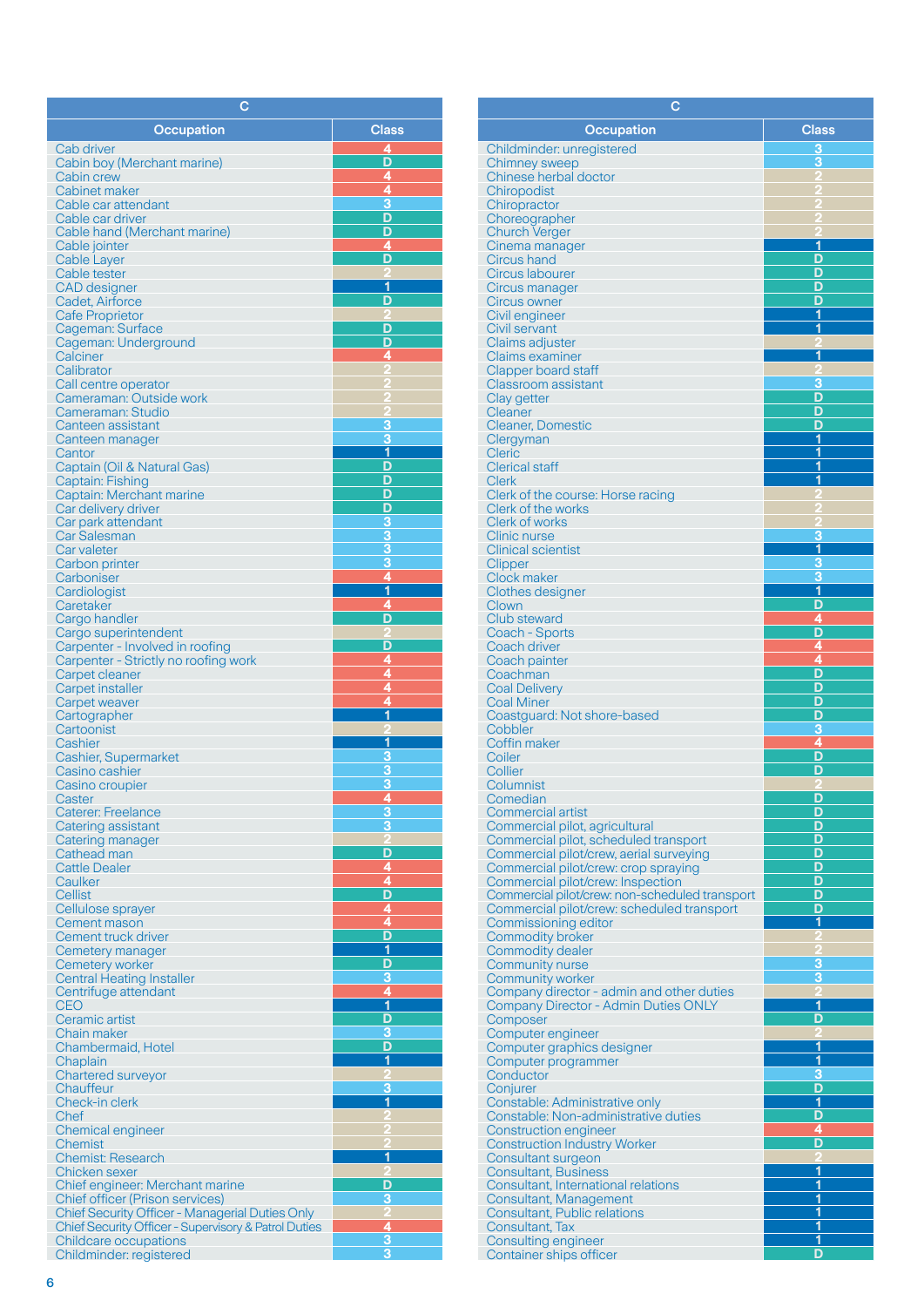| с                                                                             |                                     |
|-------------------------------------------------------------------------------|-------------------------------------|
| Occupation                                                                    | <b>Class</b>                        |
| Cab driver                                                                    | 4                                   |
| Cabin boy (Merchant marine)                                                   | D                                   |
| Cabin crew<br>Cabinet maker                                                   | 4<br>$\overline{4}$                 |
| Cable car attendant                                                           | 3                                   |
| Cable car driver                                                              | D                                   |
| Cable hand (Merchant marine)                                                  | D                                   |
| Cable jointer<br>Cable Layer                                                  | 4<br>D                              |
| Cable tester                                                                  |                                     |
| <b>CAD</b> designer                                                           | 1                                   |
| Cadet, Airforce                                                               | D                                   |
| <b>Cafe Proprietor</b><br>Cageman: Surface                                    | D                                   |
| Cageman: Underground                                                          | D                                   |
| Calciner                                                                      | 4                                   |
| Calibrator<br>Call centre operator                                            |                                     |
| Cameraman: Outside work                                                       |                                     |
| Cameraman: Studio                                                             |                                     |
| Canteen assistant                                                             | 3<br>3                              |
| Canteen manager<br>Cantor                                                     | $\overline{\mathbf{1}}$             |
| Captain (Oil & Natural Gas)                                                   | D                                   |
| Captain: Fishing                                                              | D                                   |
| Captain: Merchant marine<br>Car delivery driver                               | D<br>D                              |
| Car park attendant                                                            | <u>3</u>                            |
| Car Salesman                                                                  | 3                                   |
| Car valeter                                                                   | 3                                   |
| Carbon printer<br>Carboniser                                                  | 3<br>4                              |
| Cardiologist                                                                  | 1                                   |
| Caretaker                                                                     | 4                                   |
| Cargo handler<br>Cargo superintendent                                         | D<br>2                              |
| Carpenter - Involved in roofing                                               | D                                   |
| Carpenter - Strictly no roofing work                                          | 4                                   |
| Carpet cleaner                                                                | 4<br>4                              |
| Carpet installer<br>Carpet weaver                                             | 4                                   |
| Cartographer                                                                  | 1                                   |
| Cartoonist                                                                    |                                     |
| Cashier<br>Cashier, Supermarket                                               | 1<br>З                              |
| Casino cashier                                                                | 3                                   |
| Casino croupier                                                               | 3                                   |
| Caster<br><b>Caterer: Freelance</b>                                           | <u>4</u><br>$\overline{\mathbf{3}}$ |
| Catering assistant                                                            | 3                                   |
| Catering manager                                                              |                                     |
| Cathead man                                                                   | D                                   |
| <b>Cattle Dealer</b><br>Caulker                                               | $\frac{4}{4}$                       |
| Cellist                                                                       |                                     |
| Cellulose sprayer                                                             | $\frac{4}{4}$                       |
| Cement mason<br>Cement truck driver                                           | D                                   |
| Cemetery manager                                                              | $\overline{\mathbf{1}}$             |
| Cemetery worker                                                               | D                                   |
| <b>Central Heating Installer</b><br>Centrifuge attendant                      | 3                                   |
| <b>CEO</b>                                                                    | $\frac{4}{1}$                       |
| Ceramic artist                                                                | D                                   |
| Chain maker                                                                   | 3<br>D                              |
| Chambermaid, Hotel<br>Chaplain                                                | 1                                   |
| <b>Chartered surveyor</b>                                                     |                                     |
| Chauffeur                                                                     | 3<br>$\overline{\mathbf{1}}$        |
| Check-in clerk<br>Chef                                                        |                                     |
| Chemical engineer                                                             |                                     |
| Chemist                                                                       |                                     |
| <b>Chemist: Research</b>                                                      | 1                                   |
| Chicken sexer<br>Chief engineer: Merchant marine                              | D                                   |
| <b>Chief officer (Prison services)</b>                                        | 3                                   |
| <b>Chief Security Officer - Managerial Duties Only</b>                        | 2                                   |
| Chief Security Officer - Supervisory & Patrol Duties<br>Childcare occupations | 4<br>3                              |
| Childminder: registered                                                       | 3                                   |

| с                                                                         |                              |
|---------------------------------------------------------------------------|------------------------------|
| <b>Occupation</b>                                                         | <b>Class</b>                 |
| Childminder: unregistered                                                 | 3                            |
| <b>Chimney sweep</b>                                                      | 3                            |
| Chinese herbal doctor                                                     |                              |
| Chiropodist<br>Chiropractor                                               |                              |
| Choreographer                                                             |                              |
| <b>Church Verger</b>                                                      |                              |
| Cinema manager<br>Circus hand                                             | 1<br>D                       |
| Circus labourer                                                           | D                            |
| Circus manager                                                            | D                            |
| Circus owner<br>Civil engineer                                            | D<br>1                       |
| Civil servant                                                             | 1                            |
| Claims adjuster                                                           |                              |
| <b>Claims examiner</b><br>Clapper board staff                             | 1                            |
| <b>Classroom assistant</b>                                                | 3                            |
| Clay getter                                                               | D                            |
| <b>Cleaner</b>                                                            | D<br>D                       |
| <b>Cleaner, Domestic</b><br>Clergyman                                     | 1                            |
| <b>Cleric</b>                                                             | 1                            |
| <b>Clerical staff</b>                                                     | 1<br>1                       |
| Clerk<br>Clerk of the course: Horse racing                                |                              |
| Clerk of the works                                                        |                              |
| <b>Clerk of works</b>                                                     |                              |
| <b>Clinic nurse</b><br><b>Clinical scientist</b>                          | 3<br>$\overline{\mathbf{1}}$ |
| Clipper                                                                   | 3                            |
| Clock maker                                                               | $\overline{3}$               |
| <b>Clothes designer</b><br>Clown                                          | $\overline{\mathbf{1}}$<br>D |
| Club steward                                                              | 4                            |
| Coach - Sports                                                            | D                            |
| Coach driver<br>Coach painter                                             | 4<br>4                       |
| Coachman                                                                  | D                            |
| <b>Coal Delivery</b>                                                      | D                            |
| <b>Coal Miner</b><br>Coastguard: Not shore-based                          | D<br>D                       |
| Cobbler                                                                   | 3                            |
| Coffin maker                                                              | 4                            |
| Coiler<br>Collier                                                         | Đ<br>D                       |
| Columnist                                                                 |                              |
| Comedian                                                                  | D                            |
| <b>Commercial artist</b><br>Commercial pilot, agricultural                | D<br>D                       |
| Commercial pilot, scheduled transport                                     | D                            |
| Commercial pilot/crew, aerial surveying                                   | D                            |
| Commercial pilot/crew: crop spraying<br>Commercial pilot/crew: Inspection | D<br>D                       |
| Commercial pilot/crew: non-scheduled transport                            | D                            |
| Commercial pilot/crew: scheduled transport                                | D                            |
| Commissioning editor<br><b>Commodity broker</b>                           | 1                            |
| Commodity dealer                                                          |                              |
| <b>Community nurse</b>                                                    | З                            |
| <b>Community worker</b><br>Company director - admin and other duties      | З                            |
| <b>Company Director - Admin Duties ONLY</b>                               | 1                            |
| Composer                                                                  | D                            |
| Computer engineer<br>Computer graphics designer                           | 1                            |
| Computer programmer                                                       | 1                            |
| Conductor                                                                 | 3<br>D                       |
| Conjurer<br>Constable: Administrative only                                | 1                            |
| Constable: Non-administrative duties                                      | D                            |
| <b>Construction engineer</b>                                              | 4                            |
| <b>Construction Industry Worker</b><br>Consultant surgeon                 | D                            |
| <b>Consultant, Business</b>                                               | 1                            |
| Consultant, International relations                                       | 1                            |
| Consultant, Management<br>Consultant, Public relations                    | $\overline{\mathbf{1}}$<br>1 |
| Consultant, Tax                                                           | $\overline{\mathbf{1}}$      |
| Consulting engineer                                                       | 1                            |
| Container ships officer                                                   | D                            |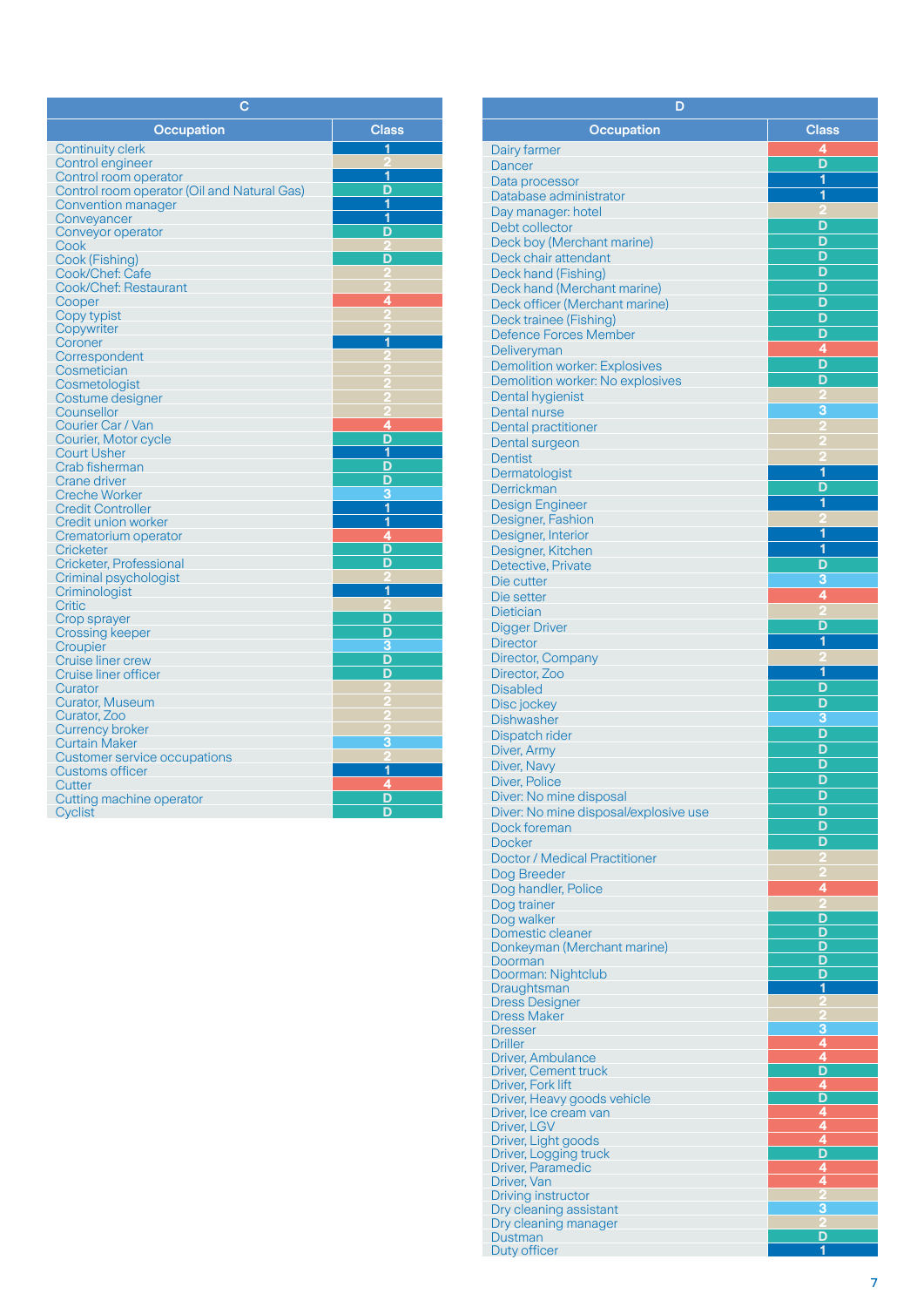| с                                           |              |
|---------------------------------------------|--------------|
| <b>Occupation</b>                           | <b>Class</b> |
| <b>Continuity clerk</b>                     | 1            |
| Control engineer                            |              |
| Control room operator                       | 1            |
| Control room operator (Oil and Natural Gas) | D            |
| <b>Convention manager</b>                   | 1            |
| Conveyancer                                 | 1            |
| Conveyor operator                           | D            |
| Cook                                        |              |
| Cook (Fishing)                              | D            |
| Cook/Chef: Cafe                             | 2            |
| Cook/Chef: Restaurant                       | Ą            |
| Cooper                                      | 4            |
| Copy typist                                 |              |
| Copywriter                                  |              |
| Coroner                                     | 1            |
| Correspondent                               |              |
| Cosmetician                                 |              |
| Cosmetologist                               |              |
| Costume designer<br>Counsellor              |              |
| Courier Car / Van                           | 4            |
| Courier, Motor cycle                        | D            |
| <b>Court Usher</b>                          | 1            |
| Crab fisherman                              | D            |
| <b>Crane driver</b>                         | D            |
| <b>Creche Worker</b>                        | 3            |
| <b>Credit Controller</b>                    | 1            |
| Credit union worker                         | 1            |
| Crematorium operator                        | 4            |
| <b>Cricketer</b>                            | D            |
| Cricketer, Professional                     | D            |
| Criminal psychologist                       |              |
| Criminologist                               | 1            |
| <b>Critic</b>                               |              |
| Crop sprayer                                | D            |
| Crossing keeper                             | D            |
| Croupier                                    | 3            |
| <b>Cruise liner crew</b>                    | D            |
| Cruise liner officer                        | D            |
| Curator                                     |              |
| <b>Curator, Museum</b>                      |              |
| Curator, Zoo                                |              |
| <b>Currency broker</b>                      |              |
| <b>Curtain Maker</b>                        | 3            |
| Customer service occupations                |              |
| <b>Customs officer</b>                      | 1            |
| Cutter                                      | 4            |
| Cutting machine operator                    | D            |
| Cyclist                                     | D            |

| D                                                      |                                           |
|--------------------------------------------------------|-------------------------------------------|
| <b>Occupation</b>                                      | <b>Class</b>                              |
| Dairy farmer                                           | 4                                         |
| Dancer                                                 | D                                         |
| Data processor                                         | 1                                         |
| Database administrator                                 | $\overline{\mathbf{1}}$                   |
| Day manager: hotel<br>Debt collector                   | D                                         |
| Deck boy (Merchant marine)                             | D                                         |
| Deck chair attendant                                   | D                                         |
| Deck hand (Fishing)                                    | D                                         |
| Deck hand (Merchant marine)                            | D                                         |
| Deck officer (Merchant marine)                         | D<br>D                                    |
| Deck trainee (Fishing)<br><b>Defence Forces Member</b> | D                                         |
| Deliveryman                                            | 4                                         |
| <b>Demolition worker: Explosives</b>                   | D                                         |
| Demolition worker: No explosives                       | D                                         |
| Dental hygienist                                       | 3                                         |
| Dental nurse<br><b>Dental practitioner</b>             |                                           |
| Dental surgeon                                         |                                           |
| <b>Dentist</b>                                         |                                           |
| Dermatologist                                          | 1                                         |
| Derrickman                                             | D                                         |
| <b>Design Engineer</b>                                 | 1                                         |
| Designer, Fashion<br>Designer, Interior                | 1                                         |
| Designer, Kitchen                                      | $\overline{\mathbf{1}}$                   |
| Detective, Private                                     | D                                         |
| Die cutter                                             | 3                                         |
| Die setter                                             | 4                                         |
| Dietician                                              | D                                         |
| <b>Digger Driver</b><br><b>Director</b>                | 1                                         |
| Director, Company                                      |                                           |
| Director, Zoo                                          | 1                                         |
| <b>Disabled</b>                                        | D                                         |
| Disc jockey                                            | D<br>3                                    |
| <b>Dishwasher</b><br>Dispatch rider                    | D                                         |
| Diver, Army                                            | D                                         |
| Diver, Navy                                            | D                                         |
| Diver, Police                                          | D                                         |
| Diver: No mine disposal                                | D                                         |
| Diver: No mine disposal/explosive use<br>Dock foreman  | D<br>D                                    |
| <b>Docker</b>                                          | D                                         |
| <b>Doctor / Medical Practitioner</b>                   |                                           |
| Dog Breeder                                            |                                           |
| Dog handler, Police                                    | 4                                         |
| Dog trainer                                            | D                                         |
| Dog walker<br>Domestic cleaner                         | D                                         |
| Donkeyman (Merchant marine)                            | D                                         |
| Doorman                                                | D<br>D                                    |
| Doorman: Nightclub<br>Draughtsman                      | 1                                         |
| <b>Dress Designer</b>                                  |                                           |
| <b>Dress Maker</b>                                     |                                           |
| <b>Dresser</b><br><b>Driller</b>                       | 3<br>4                                    |
| <b>Driver, Ambulance</b>                               | 4                                         |
| <b>Driver, Cement truck</b>                            |                                           |
| Driver, Fork lift<br>Driver, Heavy goods vehicle       | $\frac{D}{4}$ $\frac{A}{4}$ $\frac{A}{4}$ |
| Driver, Ice cream van                                  |                                           |
| Driver, LGV                                            |                                           |
| Driver, Light goods                                    | $\overline{\mathsf{D}}$                   |
| Driver, Logging truck<br>Driver, Paramedic             | 4                                         |
| Driver, Van                                            | 4                                         |
| Driving instructor                                     |                                           |
| Dry cleaning assistant<br>Dry cleaning manager         | 3                                         |
| Dustman                                                | D                                         |
| Duty officer                                           | 1                                         |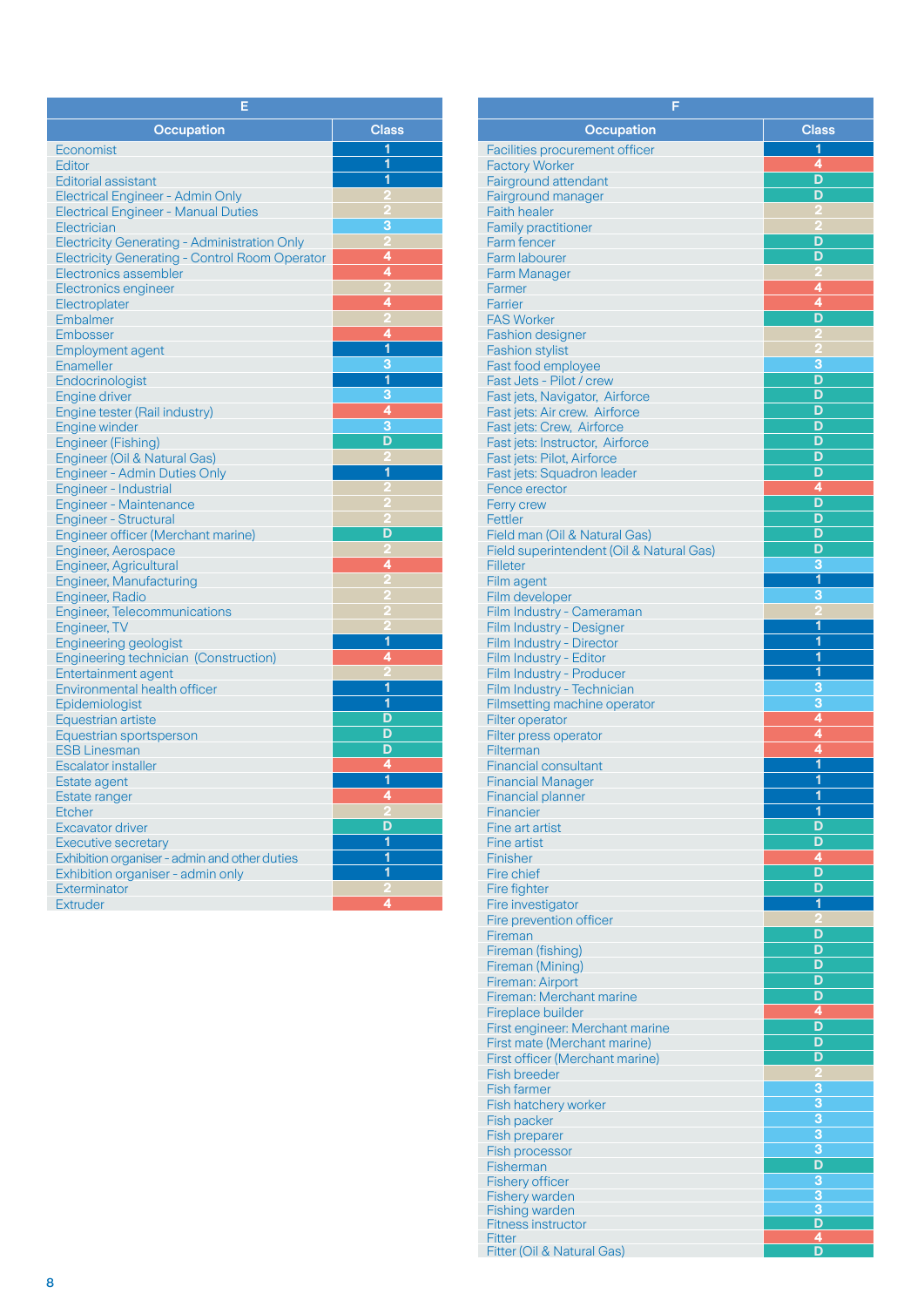| Е                                                      |                         |  |  |  |
|--------------------------------------------------------|-------------------------|--|--|--|
| <b>Occupation</b>                                      | <b>Class</b>            |  |  |  |
| Economist                                              | 1                       |  |  |  |
| Editor                                                 | 1                       |  |  |  |
| <b>Editorial assistant</b>                             | 1                       |  |  |  |
| <b>Electrical Engineer - Admin Only</b>                | P.                      |  |  |  |
| <b>Electrical Engineer - Manual Duties</b>             |                         |  |  |  |
| Electrician                                            | З                       |  |  |  |
| <b>Electricity Generating - Administration Only</b>    | $\overline{\mathbf{c}}$ |  |  |  |
| <b>Electricity Generating - Control Room Operator</b>  | 4                       |  |  |  |
| Electronics assembler                                  | 4                       |  |  |  |
| Electronics engineer                                   | 2                       |  |  |  |
| Electroplater                                          | 4                       |  |  |  |
| Embalmer                                               |                         |  |  |  |
| Embosser                                               | 4                       |  |  |  |
| <b>Employment agent</b>                                | 1                       |  |  |  |
| Enameller                                              | 3                       |  |  |  |
| Endocrinologist                                        | $\overline{\mathbf{1}}$ |  |  |  |
| Engine driver                                          | 3<br>4                  |  |  |  |
| Engine tester (Rail industry)                          | 3                       |  |  |  |
| <b>Engine winder</b>                                   | D                       |  |  |  |
| Engineer (Fishing)                                     |                         |  |  |  |
| Engineer (Oil & Natural Gas)                           | 1                       |  |  |  |
| <b>Engineer - Admin Duties Only</b>                    |                         |  |  |  |
| Engineer - Industrial<br><b>Engineer - Maintenance</b> |                         |  |  |  |
| <b>Engineer - Structural</b>                           |                         |  |  |  |
| Engineer officer (Merchant marine)                     | D                       |  |  |  |
| <b>Engineer, Aerospace</b>                             |                         |  |  |  |
| <b>Engineer, Agricultural</b>                          | 4                       |  |  |  |
| <b>Engineer, Manufacturing</b>                         | D                       |  |  |  |
| Engineer, Radio                                        |                         |  |  |  |
| <b>Engineer, Telecommunications</b>                    |                         |  |  |  |
| Engineer, TV                                           |                         |  |  |  |
| <b>Engineering geologist</b>                           | 1                       |  |  |  |
| <b>Engineering technician (Construction)</b>           | 4                       |  |  |  |
| <b>Entertainment agent</b>                             |                         |  |  |  |
| <b>Environmental health officer</b>                    | 1                       |  |  |  |
| Epidemiologist                                         | $\overline{\mathbf{1}}$ |  |  |  |
| <b>Equestrian artiste</b>                              | D                       |  |  |  |
| Equestrian sportsperson                                | D                       |  |  |  |
| <b>ESB Linesman</b>                                    | D                       |  |  |  |
| <b>Escalator installer</b>                             | 4                       |  |  |  |
| Estate agent                                           | $\overline{\mathbf{1}}$ |  |  |  |
| <b>Estate ranger</b>                                   | 4                       |  |  |  |
| <b>Etcher</b>                                          |                         |  |  |  |
| <b>Excavator driver</b>                                | D                       |  |  |  |
| <b>Executive secretary</b>                             | 1                       |  |  |  |
| Exhibition organiser - admin and other duties          | 1<br>1                  |  |  |  |
| Exhibition organiser - admin only                      |                         |  |  |  |
| <b>Exterminator</b>                                    | 2<br>4                  |  |  |  |
| Extruder                                               |                         |  |  |  |

| F                                                |                         |
|--------------------------------------------------|-------------------------|
| <b>Occupation</b>                                | <b>Class</b>            |
|                                                  | 1                       |
| <b>Facilities procurement officer</b>            | 4                       |
| <b>Factory Worker</b>                            | $\overline{\mathsf{D}}$ |
| Fairground attendant                             | D                       |
| <b>Fairground manager</b><br><b>Faith healer</b> | 2                       |
|                                                  |                         |
| <b>Family practitioner</b>                       | D                       |
| Farm fencer                                      | D                       |
| <b>Farm labourer</b>                             |                         |
| <b>Farm Manager</b><br>Farmer                    | 4                       |
| Farrier                                          | 4                       |
| <b>FAS Worker</b>                                | D                       |
| <b>Fashion designer</b>                          |                         |
| <b>Fashion stylist</b>                           |                         |
| Fast food employee                               | 3                       |
| Fast Jets - Pilot / crew                         | D                       |
| Fast jets, Navigator, Airforce                   | D                       |
| Fast jets: Air crew. Airforce                    | D                       |
| Fast jets: Crew, Airforce                        | D                       |
| Fast jets: Instructor, Airforce                  | D                       |
| Fast jets: Pilot, Airforce                       | D                       |
| Fast jets: Squadron leader                       | D                       |
| Fence erector                                    | 4                       |
| Ferry crew                                       | D                       |
| Fettler                                          | D                       |
| Field man (Oil & Natural Gas)                    | D                       |
| Field superintendent (Oil & Natural Gas)         | D                       |
| Filleter                                         | 3                       |
| Film agent                                       | 1                       |
| Film developer                                   | 3                       |
| Film Industry - Cameraman                        |                         |
| Film Industry - Designer                         | 1                       |
| Film Industry - Director                         | $\overline{\mathbf{1}}$ |
| Film Industry - Editor                           | 1                       |
| Film Industry - Producer                         | $\overline{\mathbf{1}}$ |
| Film Industry - Technician                       | $\overline{3}$          |
| Filmsetting machine operator                     | $\overline{3}$          |
| <b>Filter operator</b>                           | 4                       |
| Filter press operator                            | 4                       |
| <b>Filterman</b>                                 | 4                       |
| <b>Financial consultant</b>                      | 1                       |
| <b>Financial Manager</b>                         | $\overline{\mathbf{1}}$ |
| <b>Financial planner</b>                         | 1                       |
| Financier                                        | $\overline{\mathbf{1}}$ |
| Fine art artist                                  | D                       |
| <b>Fine artist</b>                               | D                       |
| Finisher                                         | 4                       |
| <b>Fire chief</b>                                | D                       |
| Fire fighter                                     | D                       |
| Fire investigator                                | 1                       |
| Fire prevention officer                          |                         |
| Fireman                                          | D                       |
| Fireman (fishing)                                | D                       |
| Fireman (Mining)                                 | D                       |
| Fireman: Airport                                 | D                       |
| Fireman: Merchant marine                         | D                       |
| Fireplace builder                                | 4<br>D                  |
| First engineer: Merchant marine                  |                         |
| First mate (Merchant marine)                     | D<br>D                  |
| First officer (Merchant marine)                  |                         |
| <b>Fish breeder</b>                              |                         |
| <b>Fish farmer</b>                               | 3<br>$\overline{3}$     |
| Fish hatchery worker                             | 3                       |
| Fish packer                                      | $\overline{3}$          |
| <b>Fish preparer</b>                             | $\overline{3}$          |
| <b>Fish processor</b>                            | D                       |
| Fisherman                                        | 3                       |
| <b>Fishery officer</b><br><b>Fishery warden</b>  | 3                       |
| <b>Fishing warden</b>                            | 3                       |
| <b>Fitness instructor</b>                        | D                       |
| Fitter                                           | 4                       |
| Fitter (Oil & Natural Gas)                       | D                       |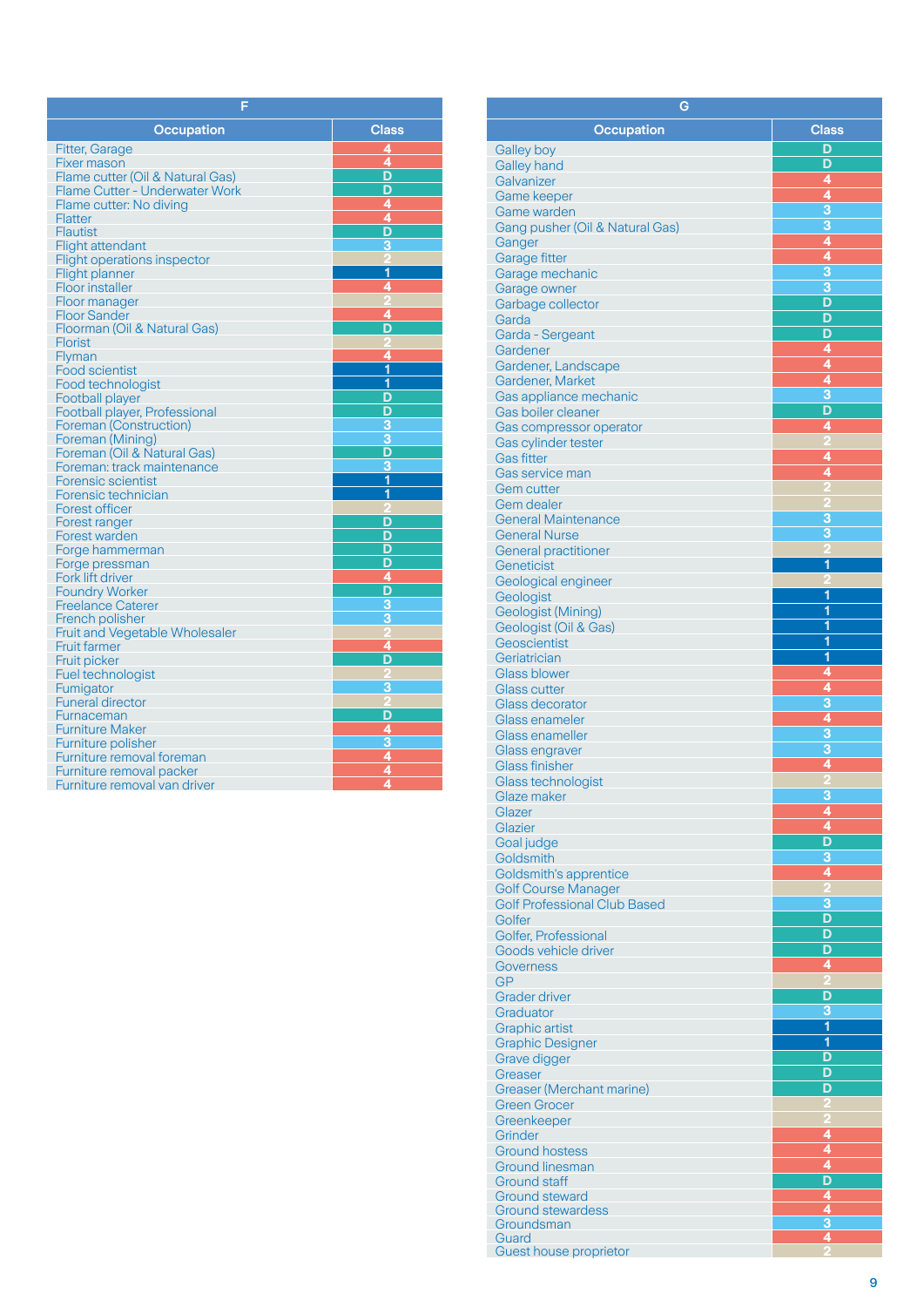| F                                     |                             |  |
|---------------------------------------|-----------------------------|--|
| Occupation                            | <b>Class</b>                |  |
| <b>Fitter, Garage</b>                 | 4                           |  |
| Fixer mason                           | 4                           |  |
| Flame cutter (Oil & Natural Gas)      | D                           |  |
| <b>Flame Cutter - Underwater Work</b> | D                           |  |
| Flame cutter: No diving               | 4                           |  |
| <b>Flatter</b>                        | 4                           |  |
| Flautist                              | D                           |  |
| <b>Flight attendant</b>               | 3                           |  |
| <b>Flight operations inspector</b>    |                             |  |
| Flight planner                        | 1                           |  |
| Floor installer                       | 4                           |  |
| Floor manager                         |                             |  |
| Floor Sander                          | $\overline{\mathbf{4}}$     |  |
| Floorman (Oil & Natural Gas)          | D                           |  |
| <b>Florist</b>                        |                             |  |
| Flyman                                | 4                           |  |
| <b>Food scientist</b>                 | 1                           |  |
| Food technologist                     | 1                           |  |
| <b>Football player</b>                | D                           |  |
| Football player, Professional         | D                           |  |
| Foreman (Construction)                | 3                           |  |
| Foreman (Mining)                      | 3                           |  |
| Foreman (Oil & Natural Gas)           | D                           |  |
| Foreman: track maintenance            | 3                           |  |
| <b>Forensic scientist</b>             | 1                           |  |
| Forensic technician                   | 1                           |  |
| <b>Forest officer</b>                 |                             |  |
| Forest ranger                         | D                           |  |
| Forest warden                         | D                           |  |
| Forge hammerman                       | D                           |  |
| Forge pressman                        | D                           |  |
| Fork lift driver                      | 4<br>D                      |  |
| <b>Foundry Worker</b>                 |                             |  |
| <b>Freelance Caterer</b>              | $\overline{\overline{3}}$   |  |
| French polisher                       | $\overline{3}$              |  |
| Fruit and Vegetable Wholesaler        |                             |  |
| <b>Fruit farmer</b>                   | 4<br>D                      |  |
| Fruit picker                          |                             |  |
| Fuel technologist                     |                             |  |
| Fumigator                             | З                           |  |
| <b>Funeral director</b>               |                             |  |
| Furnaceman                            | D                           |  |
| <b>Furniture Maker</b>                |                             |  |
| Furniture polisher                    | $\frac{4}{3}$ $\frac{4}{4}$ |  |
| Furniture removal foreman             |                             |  |
| Furniture removal packer              |                             |  |
| Furniture removal van driver          |                             |  |

| <b>Occupation</b>                             | <b>Class</b>                 |
|-----------------------------------------------|------------------------------|
|                                               | D                            |
| Galley boy<br><b>Galley hand</b>              | D                            |
| Galvanizer                                    | 4                            |
| <b>Game keeper</b>                            | 4                            |
| Game warden                                   | $\frac{3}{3}$                |
| Gang pusher (Oil & Natural Gas)               |                              |
| Ganger                                        | 4                            |
| Garage fitter                                 | $\frac{4}{3}$                |
| Garage mechanic                               | $\overline{3}$               |
| Garage owner<br>Garbage collector             | D                            |
| Garda                                         | D                            |
| Garda - Sergeant                              | D                            |
| Gardener                                      | 4                            |
| Gardener, Landscape                           | 4                            |
| Gardener, Market                              | 4                            |
| Gas appliance mechanic                        | 3<br>D                       |
| Gas boiler cleaner<br>Gas compressor operator | 4                            |
| Gas cylinder tester                           |                              |
| <b>Gas fitter</b>                             | 4                            |
| Gas service man                               | 4                            |
| <b>Gem cutter</b>                             |                              |
| Gem dealer                                    |                              |
| <b>General Maintenance</b>                    | 3                            |
| <b>General Nurse</b>                          | 3                            |
| <b>General practitioner</b>                   | 1                            |
| Geneticist<br>Geological engineer             |                              |
| Geologist                                     | 1                            |
| Geologist (Mining)                            | 1                            |
| Geologist (Oil & Gas)                         | 1                            |
| Geoscientist                                  | $\overline{\mathbf{1}}$      |
| Geriatrician                                  | $\overline{\mathbf{1}}$      |
| <b>Glass blower</b>                           | 4                            |
| <b>Glass cutter</b>                           | 4<br>$\overline{3}$          |
| Glass decorator<br>Glass enameler             |                              |
| <b>Glass enameller</b>                        |                              |
| Glass engraver                                | $\frac{4}{3}$                |
| <b>Glass finisher</b>                         | 4                            |
| <b>Glass technologist</b>                     |                              |
| Glaze maker                                   | 3                            |
| Glazer                                        | $\overline{a}$               |
| Glazier<br>Goal judge                         | 4<br>$\overline{\mathsf{D}}$ |
| Goldsmith                                     | $\overline{3}$               |
| Goldsmith's apprentice                        | 4                            |
| <b>Golf Course Manager</b>                    | $\overline{2}$               |
| <b>Golf Professional Club Based</b>           | 3                            |
| Golfer                                        | D                            |
| Golfer, Professional                          | D                            |
| Goods vehicle driver                          | D                            |
| Governess<br><b>GP</b>                        | 4                            |
| <b>Grader driver</b>                          | D                            |
| Graduator                                     | $\overline{\overline{3}}$    |
| <b>Graphic artist</b>                         | $\overline{\mathbf{1}}$      |
| <b>Graphic Designer</b>                       | $\overline{\mathbf{1}}$      |
| Grave digger                                  | D                            |
| Greaser                                       | D                            |
| <b>Greaser (Merchant marine)</b>              | D                            |
| <b>Green Grocer</b>                           |                              |
| Greenkeeper<br>Grinder                        | 4                            |
| <b>Ground hostess</b>                         | 4                            |
| <b>Ground linesman</b>                        | 4                            |
| <b>Ground staff</b>                           | D                            |
| Ground steward                                | 4                            |
| <b>Ground stewardess</b>                      | Ô<br>3                       |
| Groundsman<br>Guard                           | 4                            |
| Guest house proprietor                        |                              |

**G**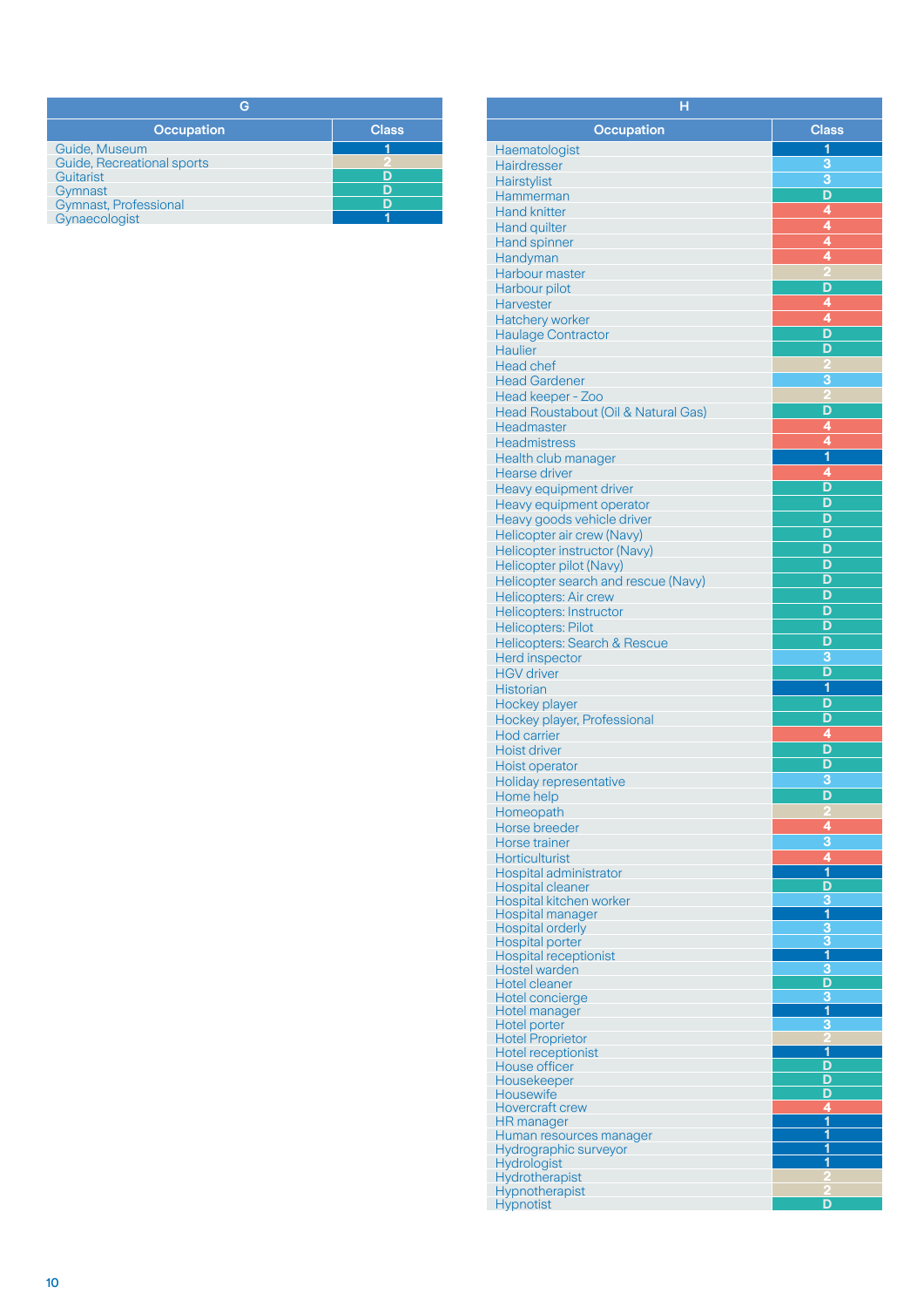| <b>Occupation</b>          | <b>Class</b> |
|----------------------------|--------------|
| Guide, Museum              |              |
| Guide, Recreational sports |              |
| Guitarist                  |              |
| Gymnast                    |              |
| Gymnast, Professional      |              |
| Gynaecologist              |              |

| н                                                 |                              |
|---------------------------------------------------|------------------------------|
| <b>Occupation</b>                                 | <b>Class</b>                 |
| Haematologist                                     | 1                            |
| Hairdresser                                       | 3                            |
| Hairstylist                                       | 3                            |
| Hammerman                                         | D                            |
| <b>Hand knitter</b>                               | 4                            |
| <b>Hand quilter</b>                               | 4                            |
| Hand spinner                                      | 4                            |
| Handyman                                          | 4                            |
| Harbour master                                    |                              |
| Harbour pilot                                     | D                            |
| <b>Harvester</b>                                  | 4                            |
| Hatchery worker                                   | 4                            |
| <b>Haulage Contractor</b>                         | D                            |
| <b>Haulier</b>                                    | D                            |
| <b>Head chef</b>                                  |                              |
| <b>Head Gardener</b>                              | 3                            |
| Head keeper - Zoo                                 | D                            |
| Head Roustabout (Oil & Natural Gas)<br>Headmaster | 4                            |
| <b>Headmistress</b>                               | 4                            |
| Health club manager                               | $\overline{\mathbf{1}}$      |
| Hearse driver                                     | 4                            |
| Heavy equipment driver                            | D                            |
| Heavy equipment operator                          | D                            |
| Heavy goods vehicle driver                        | D                            |
| Helicopter air crew (Navy)                        | D                            |
| Helicopter instructor (Navy)                      | D                            |
| Helicopter pilot (Navy)                           | D                            |
| Helicopter search and rescue (Navy)               | D                            |
| <b>Helicopters: Air crew</b>                      | D                            |
| <b>Helicopters: Instructor</b>                    | D                            |
| <b>Helicopters: Pilot</b>                         | D<br>D                       |
| Helicopters: Search & Rescue                      | 3                            |
| Herd inspector<br><b>HGV</b> driver               | D                            |
| <b>Historian</b>                                  | 1                            |
| Hockey player                                     | D                            |
| Hockey player, Professional                       | D                            |
| <b>Hod carrier</b>                                | 4                            |
| <b>Hoist driver</b>                               | D                            |
| Hoist operator                                    | D                            |
| Holiday representative                            | 3                            |
| Home help                                         | D                            |
| Homeopath<br>Horse breeder                        | 4                            |
| Horse trainer                                     | $\overline{\mathbf{3}}$      |
| <b>Horticulturist</b>                             | 4                            |
| Hospital administrator                            | $\overline{\mathbf{1}}$      |
| Hospital cleaner                                  | D                            |
| Hospital kitchen worker                           | 3                            |
| <b>Hospital manager</b>                           | 1                            |
| <b>Hospital orderly</b><br><b>Hospital porter</b> | $\overline{\mathbf{3}}$<br>3 |
| <b>Hospital receptionist</b>                      | $\overline{\mathbf{1}}$      |
| Hostel warden                                     | 3                            |
| Hotel cleaner                                     | D                            |
| Hotel concierge                                   | 3                            |
| Hotel manager<br>Hotel porter                     | 1<br>3                       |
| <b>Hotel Proprietor</b>                           |                              |
| <b>Hotel receptionist</b>                         | $\overline{\mathbf{1}}$      |
| House officer                                     | D                            |
| Housekeeper                                       | D                            |
| Housewife<br><b>Hovercraft crew</b>               | D<br>4                       |
| <b>HR</b> manager                                 | $\overline{\mathbf{1}}$      |
| Human resources manager                           | $\overline{\mathbf{1}}$      |
| Hydrographic surveyor                             | 1                            |
| Hydrologist                                       | 1                            |
| Hydrotherapist<br>Hypnotherapist                  |                              |
| Hypnotist                                         | D                            |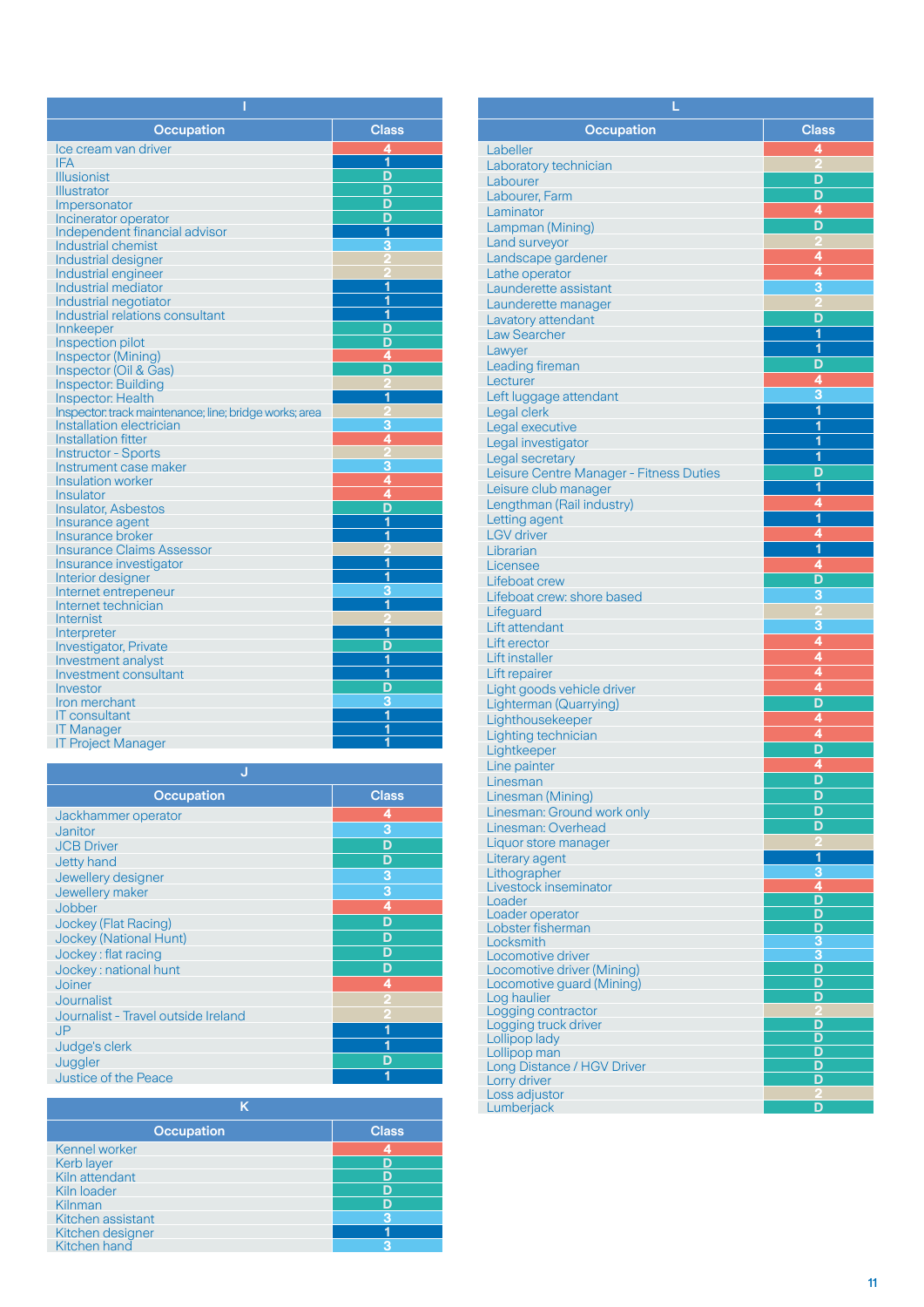| <b>Occupation</b>                                      | <b>Class</b>            |
|--------------------------------------------------------|-------------------------|
| Ice cream van driver                                   | 4                       |
| <b>IFA</b>                                             | 1                       |
| <b>Illusionist</b>                                     | D                       |
| Illustrator                                            | D                       |
| Impersonator                                           | D                       |
| Incinerator operator                                   | D                       |
| Independent financial advisor                          | 1                       |
| <b>Industrial chemist</b>                              | 3                       |
| Industrial designer                                    |                         |
| Industrial engineer                                    |                         |
| Industrial mediator                                    | $\overline{\mathbf{1}}$ |
| Industrial negotiator                                  | 1                       |
| Industrial relations consultant                        | 1                       |
| Innkeeper                                              | D                       |
| Inspection pilot                                       | D                       |
| Inspector (Mining)                                     | 4                       |
| Inspector (Oil & Gas)                                  | D                       |
| <b>Inspector: Building</b>                             |                         |
| <b>Inspector: Health</b>                               | 1                       |
| Inspector: track maintenance; line; bridge works; area | 3                       |
| Installation electrician<br><b>Installation fitter</b> | 4                       |
| <b>Instructor - Sports</b>                             |                         |
| Instrument case maker                                  | 3                       |
| <b>Insulation worker</b>                               | 4                       |
| <b>Insulator</b>                                       | 4                       |
| <b>Insulator, Asbestos</b>                             | D                       |
| Insurance agent                                        | 1                       |
| Insurance broker                                       | 1                       |
| <b>Insurance Claims Assessor</b>                       | D                       |
| Insurance investigator                                 | 1                       |
| Interior designer                                      | 1                       |
| Internet entrepeneur                                   | 3                       |
| Internet technician                                    | $\overline{\mathbf{1}}$ |
| Internist                                              |                         |
| Interpreter                                            | 1                       |
| Investigator, Private                                  | D                       |
| Investment analyst                                     | 1                       |
| Investment consultant                                  | 1                       |
| Investor                                               | D                       |
| Iron merchant                                          | 3                       |
| IT consultant                                          | $\overline{\mathbf{1}}$ |
| <b>IT Manager</b>                                      | 1                       |
| <b>IT Project Manager</b>                              | 1                       |

| <b>Class</b> |
|--------------|
| 4            |
| 3            |
| D            |
| D            |
| 3            |
| 3            |
| 4            |
| D            |
| D            |
| D            |
| D            |
| 4            |
|              |
|              |
|              |
|              |
| D            |
|              |
|              |

| <b>Occupation</b> | <b>Class</b> |
|-------------------|--------------|
| Kennel worker     |              |
| Kerb layer        |              |
| Kiln attendant    |              |
| Kiln loader       |              |
| Kilnman           |              |
| Kitchen assistant |              |
| Kitchen designer  |              |
| Kitchen hand      |              |

| <b>Occupation</b>                                       | <b>Class</b>                 |  |
|---------------------------------------------------------|------------------------------|--|
| Labeller                                                | 4                            |  |
| Laboratory technician                                   |                              |  |
| Labourer                                                | D                            |  |
| Labourer, Farm                                          | D<br>4                       |  |
| Laminator                                               | D                            |  |
| Lampman (Mining)<br>Land surveyor                       |                              |  |
| Landscape gardener                                      | 4                            |  |
| Lathe operator                                          | $\overline{4}$               |  |
| Launderette assistant                                   | $\overline{3}$               |  |
| Launderette manager                                     |                              |  |
| Lavatory attendant                                      | D                            |  |
| <b>Law Searcher</b>                                     | 1                            |  |
| Lawyer                                                  | 1<br>D                       |  |
| <b>Leading fireman</b><br>Lecturer                      | 4                            |  |
| Left luggage attendant                                  | $\overline{\overline{3}}$    |  |
| Legal clerk                                             | $\overline{\mathbf{1}}$      |  |
| Legal executive                                         | $\overline{\mathbf{1}}$      |  |
| Legal investigator                                      | 1                            |  |
| Legal secretary                                         | 1                            |  |
| Leisure Centre Manager - Fitness Duties                 | D                            |  |
| Leisure club manager                                    | 1                            |  |
| Lengthman (Rail industry)                               | 4<br>$\overline{\mathbf{1}}$ |  |
| Letting agent<br><b>LGV</b> driver                      | 4                            |  |
| Librarian                                               | $\overline{\mathbf{1}}$      |  |
| Licensee                                                | 4                            |  |
| Lifeboat crew                                           | $\overline{\mathsf{D}}$      |  |
| Lifeboat crew: shore based                              | 3                            |  |
| Lifeguard                                               |                              |  |
| Lift attendant                                          | 3                            |  |
| Lift erector                                            | 4<br>$\overline{4}$          |  |
| Lift installer                                          | 4                            |  |
| Lift repairer<br>Light goods vehicle driver             | $\overline{\bf{4}}$          |  |
| <b>Lighterman (Quarrying)</b>                           | D                            |  |
| Lighthousekeeper                                        | 4                            |  |
| Lighting technician                                     | 4                            |  |
| Lightkeeper                                             | D                            |  |
| Line painter                                            | 4                            |  |
| Linesman                                                | D                            |  |
| Linesman (Mining)                                       | D<br>D                       |  |
| Linesman: Ground work only<br>Linesman: Overhead        | D                            |  |
| Liquor store manager                                    |                              |  |
| Literary agent                                          | 1                            |  |
| Lithographer                                            | 3                            |  |
| Livestock inseminator                                   | 4                            |  |
| Loader<br>Loader operator                               | D<br>D                       |  |
| Lobster fisherman                                       | D                            |  |
| Locksmith                                               | 3                            |  |
| Locomotive driver                                       | 3                            |  |
| Locomotive driver (Mining)<br>Locomotive guard (Mining) | D<br>D                       |  |
| Log haulier                                             | D                            |  |
| Logging contractor                                      | 2                            |  |
| Logging truck driver                                    | D                            |  |
| Lollipop lady                                           | D<br>D                       |  |
| Lollipop man<br>Long Distance / HGV Driver              | D                            |  |
| Lorry driver                                            | D                            |  |
| Loss adjustor                                           |                              |  |
| Lumberjack                                              | D                            |  |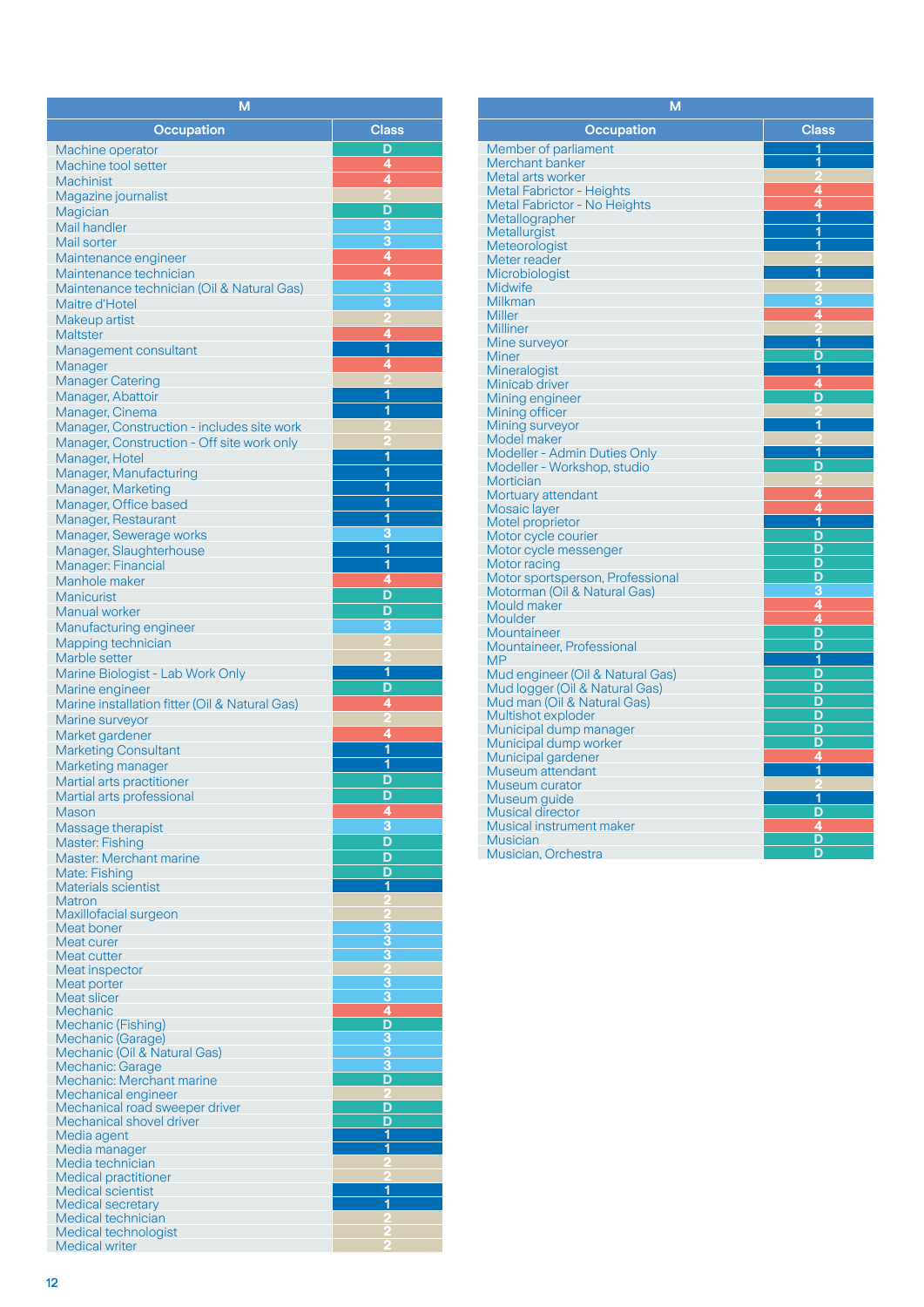| М                                                                 |                                           |
|-------------------------------------------------------------------|-------------------------------------------|
| <b>Occupation</b>                                                 | <b>Class</b>                              |
| Machine operator                                                  | D                                         |
| <b>Machine tool setter</b>                                        | 4                                         |
| <b>Machinist</b>                                                  | 4                                         |
| Magazine journalist                                               |                                           |
| Magician<br><b>Mail handler</b>                                   | D<br>3                                    |
| Mail sorter                                                       | $\overline{\mathbf{3}}$                   |
| Maintenance engineer                                              | 4                                         |
| Maintenance technician                                            | $\overline{4}$                            |
| Maintenance technician (Oil & Natural Gas)                        | $\overline{\overline{3}}$                 |
| Maitre d'Hotel                                                    | 3                                         |
| Makeup artist<br><b>Maltster</b>                                  | 4                                         |
| Management consultant                                             | 1                                         |
| Manager                                                           | 4                                         |
| <b>Manager Catering</b>                                           |                                           |
| Manager, Abattoir                                                 | 1<br>1                                    |
| Manager, Cinema<br>Manager, Construction - includes site work     |                                           |
| Manager, Construction - Off site work only                        |                                           |
| Manager, Hotel                                                    | 1                                         |
| Manager, Manufacturing                                            | 1                                         |
| Manager, Marketing                                                | 1<br>1                                    |
| Manager, Office based<br>Manager, Restaurant                      | $\overline{\mathbf{1}}$                   |
| Manager, Sewerage works                                           | 3                                         |
| Manager, Slaughterhouse                                           | $\overline{\mathbf{1}}$                   |
| Manager: Financial                                                | 1                                         |
| Manhole maker                                                     | 4                                         |
| <b>Manicurist</b>                                                 | D<br>D                                    |
| Manual worker<br>Manufacturing engineer                           | 3                                         |
| Mapping technician                                                |                                           |
| Marble setter                                                     |                                           |
| Marine Biologist - Lab Work Only                                  | 1                                         |
| Marine engineer                                                   | D<br>4                                    |
| Marine installation fitter (Oil & Natural Gas)<br>Marine surveyor |                                           |
| Market gardener                                                   | 4                                         |
| <b>Marketing Consultant</b>                                       | 1                                         |
| Marketing manager                                                 | 1                                         |
| Martial arts practitioner<br>Martial arts professional            | D<br>D                                    |
| Mason                                                             | 4                                         |
| Massage therapist                                                 | $\overline{\overline{3}}$                 |
| <b>Master: Fishing</b>                                            | D                                         |
| <b>Master: Merchant marine</b>                                    | D                                         |
| Mate: Fishing<br><b>Materials scientist</b>                       | D<br>1                                    |
| <b>Matron</b>                                                     |                                           |
| Maxillofacial surgeon                                             |                                           |
| Meat boner<br>Meat curer                                          | 3<br>3                                    |
| Meat cutter                                                       | 3                                         |
| Meat inspector                                                    | 2                                         |
| Meat porter<br>Meat slicer                                        | 3<br>$\overline{\mathbf{3}}$              |
| <b>Mechanic</b>                                                   | 4                                         |
| Mechanic (Fishing)                                                | D                                         |
| Mechanic (Garage)<br>Mechanic (Oil & Natural Gas)                 | $\overline{\mathbf{3}}$<br>$\overline{3}$ |
| Mechanic: Garage                                                  | 3                                         |
| Mechanic: Merchant marine                                         | D                                         |
| Mechanical engineer<br>Mechanical road sweeper driver             | D                                         |
| Mechanical shovel driver                                          | D                                         |
| Media agent                                                       | 1                                         |
| Media manager<br>Media technician                                 | $\overline{\mathbf{1}}$                   |
| <b>Medical practitioner</b>                                       |                                           |
| <b>Medical scientist</b>                                          | $\overline{\mathbf{1}}$                   |
| <b>Medical secretary</b>                                          | 1                                         |
| Medical technician<br>Medical technologist                        |                                           |
| <b>Medical writer</b>                                             |                                           |

| М                                        |                         |
|------------------------------------------|-------------------------|
| <b>Occupation</b>                        | <b>Class</b>            |
| Member of parliament                     | 1                       |
| Merchant banker                          | 1                       |
| Metal arts worker                        |                         |
| <b>Metal Fabrictor - Heights</b>         | 4                       |
| <b>Metal Fabrictor - No Heights</b>      | 4                       |
| Metallographer                           | $\overline{\mathbf{1}}$ |
| Metallurgist                             | 1                       |
| Meteorologist                            | 1                       |
| Meter reader                             |                         |
| Microbiologist                           | 1                       |
| <b>Midwife</b>                           | 2                       |
| Milkman                                  | 3                       |
| <b>Miller</b>                            | 4                       |
| Milliner                                 |                         |
| Mine surveyor                            | 1                       |
| Miner                                    | D                       |
| Mineralogist                             | 1                       |
| Minicab driver                           | 4                       |
| Mining engineer                          | D                       |
| Mining officer                           | 1                       |
| Mining surveyor                          |                         |
| Model maker                              | 1                       |
| Modeller - Admin Duties Only             | D                       |
| Modeller - Workshop, studio<br>Mortician | o                       |
| Mortuary attendant                       | 4                       |
| Mosaic layer                             | 4                       |
| Motel proprietor                         | 1                       |
| Motor cycle courier                      | D                       |
| Motor cycle messenger                    | D                       |
| Motor racing                             | D                       |
| Motor sportsperson, Professional         | D                       |
| Motorman (Oil & Natural Gas)             | 3                       |
| Mould maker                              | 4                       |
| Moulder                                  | 4                       |
| Mountaineer                              | D                       |
| Mountaineer, Professional                | D                       |
| <b>MP</b>                                | 1                       |
| Mud engineer (Oil & Natural Gas)         | D                       |
| Mud logger (Oil & Natural Gas)           | D                       |
| Mud man (Oil & Natural Gas)              | D                       |
| Multishot exploder                       | D                       |
| Municipal dump manager                   | D                       |
| Municipal dump worker                    | D                       |
| Municipal gardener                       | 4                       |
| Museum attendant                         | $\mathbf{1}$            |
| Museum curator                           |                         |
| Museum guide                             | 1                       |
| <b>Musical director</b>                  | D                       |
| <b>Musical instrument maker</b>          | 4                       |
| Musician                                 | D                       |
| Musician, Orchestra                      | D                       |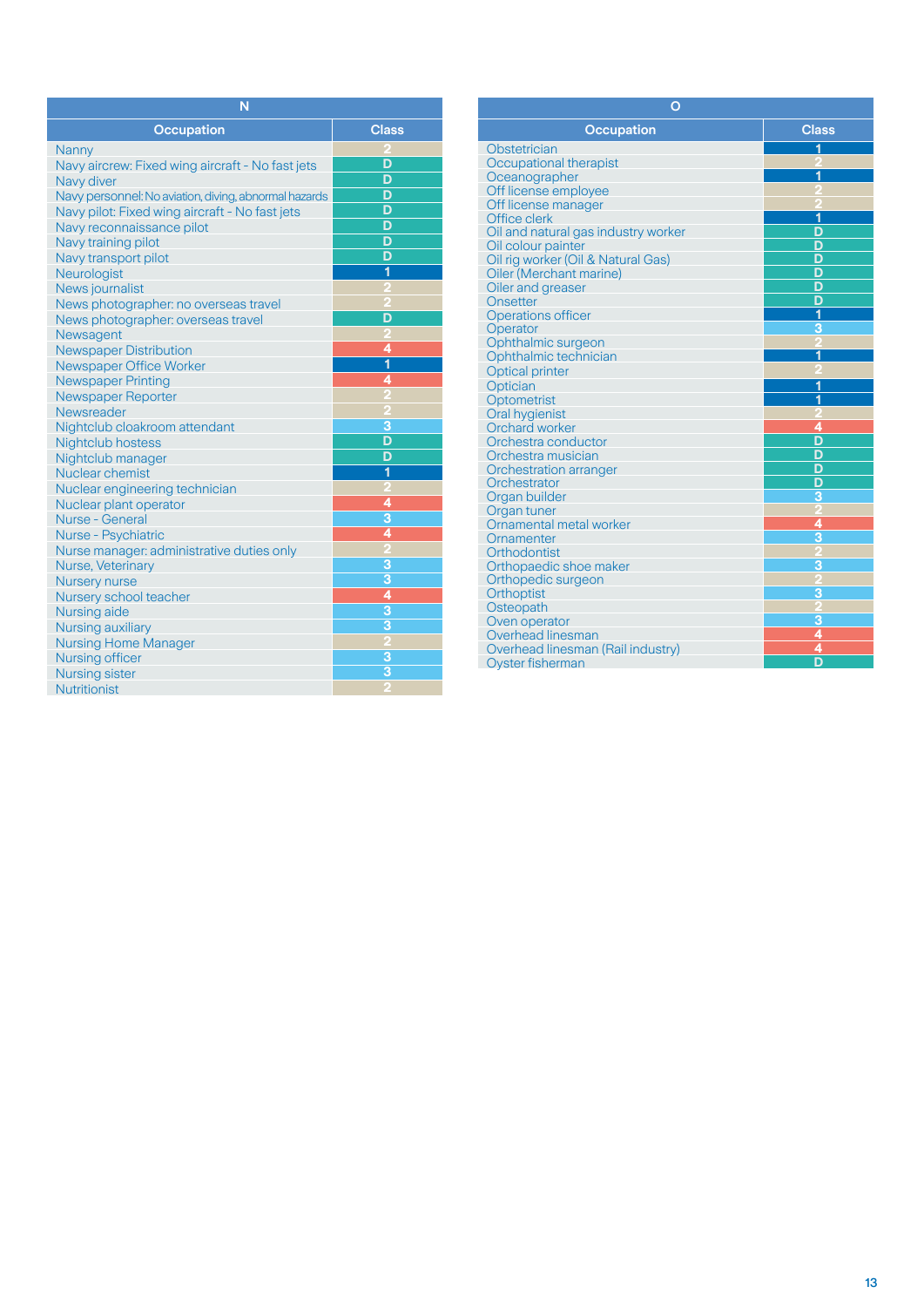| N                                                     |               |
|-------------------------------------------------------|---------------|
| <b>Occupation</b>                                     | <b>Class</b>  |
| Nanny                                                 |               |
| Navy aircrew: Fixed wing aircraft - No fast jets      | D             |
| Navy diver                                            | D             |
| Navy personnel: No aviation, diving, abnormal hazards | D             |
| Navy pilot: Fixed wing aircraft - No fast jets        | D             |
| Navy reconnaissance pilot                             | D             |
| Navy training pilot                                   | D             |
| Navy transport pilot                                  | D             |
| Neurologist                                           | 1             |
| News journalist                                       |               |
| News photographer: no overseas travel                 |               |
| News photographer: overseas travel                    | D             |
| Newsagent                                             |               |
| <b>Newspaper Distribution</b>                         | 4             |
| Newspaper Office Worker                               | 1             |
| <b>Newspaper Printing</b>                             | 4             |
| Newspaper Reporter                                    |               |
| Newsreader                                            |               |
| Nightclub cloakroom attendant                         | 3             |
| Nightclub hostess                                     | D             |
| Nightclub manager                                     | D             |
| Nuclear chemist                                       | 1             |
| Nuclear engineering technician                        |               |
| Nuclear plant operator                                | 4             |
| Nurse - General                                       | 3             |
| <b>Nurse - Psychiatric</b>                            | 4             |
| Nurse manager: administrative duties only             | 5             |
| Nurse, Veterinary                                     | $\frac{3}{4}$ |
| <b>Nursery nurse</b>                                  |               |
| Nursery school teacher                                |               |
| Nursing aide                                          | $\frac{3}{3}$ |
| Nursing auxiliary                                     |               |
| <b>Nursing Home Manager</b>                           |               |
| Nursing officer                                       | 3             |
| <b>Nursing sister</b>                                 | 3             |
| <b>Nutritionist</b>                                   |               |

| $\mathbf O$                         |                |
|-------------------------------------|----------------|
| <b>Occupation</b>                   | <b>Class</b>   |
| Obstetrician                        | 1              |
| Occupational therapist              |                |
| Oceanographer                       |                |
| Off license employee                |                |
| Off license manager                 |                |
| Office clerk                        | 1              |
| Oil and natural gas industry worker | D              |
| Oil colour painter                  | D              |
| Oil rig worker (Oil & Natural Gas)  | D              |
| Oiler (Merchant marine)             | D              |
| Oiler and greaser                   | D              |
| Onsetter                            | D              |
| <b>Operations officer</b>           | 1              |
| Operator                            | з              |
| Ophthalmic surgeon                  |                |
| Ophthalmic technician               | 1              |
| <b>Optical printer</b>              |                |
| Optician                            | 1              |
| Optometrist                         | 1              |
| <b>Oral hygienist</b>               |                |
| Orchard worker                      | 4              |
| Orchestra conductor                 | D              |
| Orchestra musician                  | D              |
| Orchestration arranger              | D              |
| Orchestrator                        | D              |
| Organ builder                       | $\overline{3}$ |
| Organ tuner                         |                |
| Ornamental metal worker             | 4              |
| Ornamenter                          | $\overline{3}$ |
| Orthodontist                        |                |
| Orthopaedic shoe maker              | 3              |
| Orthopedic surgeon                  |                |
| Orthoptist                          | 3              |
| Osteopath                           |                |
| Oven operator                       | 3              |
| Overhead linesman                   | 4              |
| Overhead linesman (Rail industry)   | 4              |
| <b>Oyster fisherman</b>             | D              |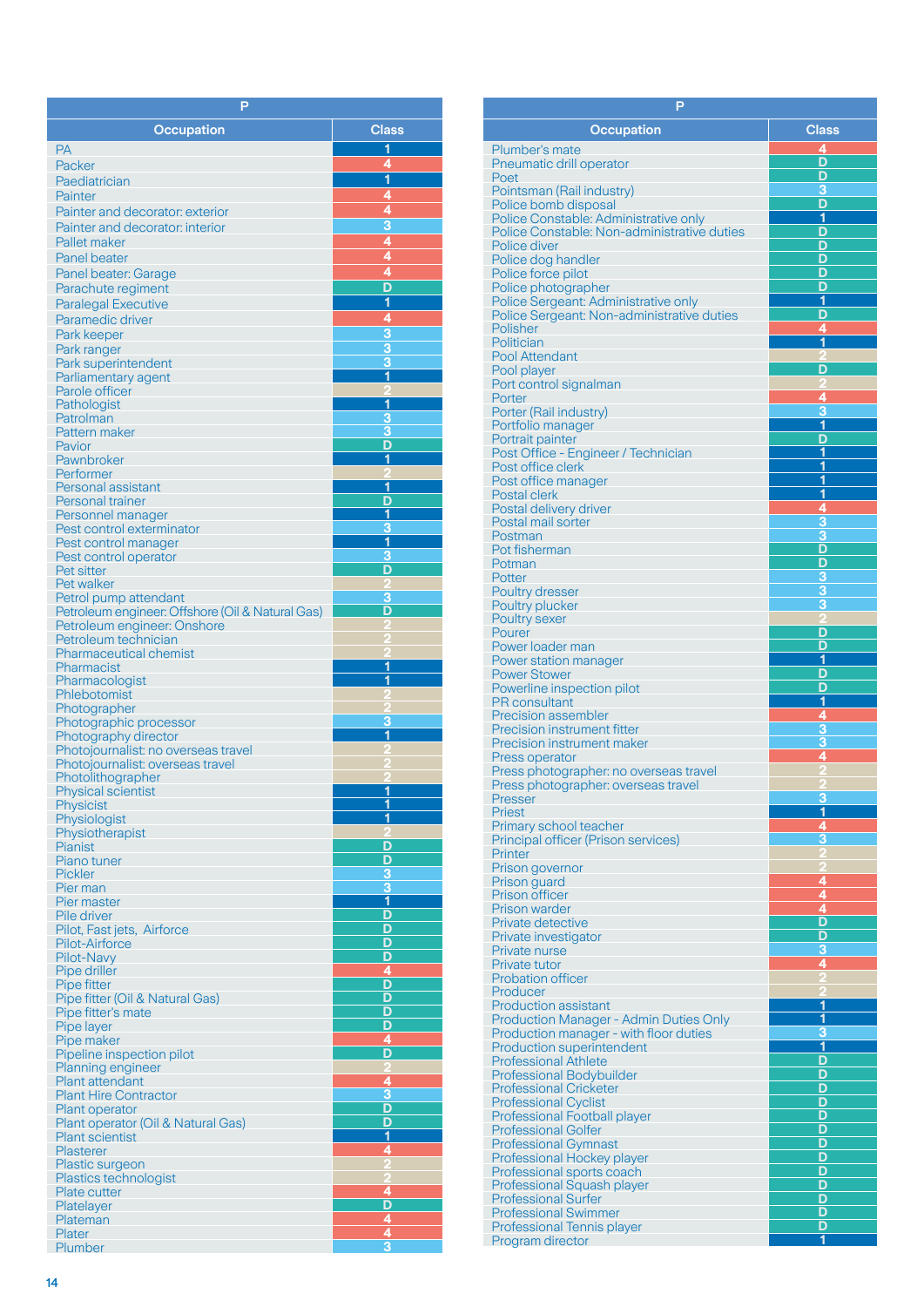| P                                                   |                                                 |
|-----------------------------------------------------|-------------------------------------------------|
| <b>Occupation</b>                                   | <b>Class</b>                                    |
| РA                                                  | 1                                               |
| Packer                                              | 4                                               |
| Paediatrician                                       | $\overline{\mathbf{1}}$                         |
| Painter                                             |                                                 |
| Painter and decorator: exterior                     |                                                 |
| Painter and decorator: interior                     | $\frac{4}{4}$<br>$\frac{4}{4}$<br>$\frac{4}{4}$ |
| Pallet maker                                        |                                                 |
| <b>Panel beater</b>                                 |                                                 |
| Panel beater: Garage                                |                                                 |
| Parachute regiment                                  | $\overline{\mathsf{D}}$                         |
| <b>Paralegal Executive</b>                          | $\overline{\mathbf{1}}$                         |
| Paramedic driver                                    | $\frac{4}{3}$                                   |
| Park keeper                                         |                                                 |
| Park ranger<br>Park superintendent                  | $\overline{\overline{3}}$                       |
| Parliamentary agent                                 | $\overline{\mathbf{1}}$                         |
| Parole officer                                      |                                                 |
| Pathologist                                         | 1                                               |
| Patrolman                                           | 3                                               |
| Pattern maker                                       | 3<br>D                                          |
| Pavior<br>Pawnbroker                                | 1                                               |
| Performer                                           |                                                 |
| Personal assistant                                  | 1                                               |
| <b>Personal trainer</b>                             | D                                               |
| Personnel manager                                   | 1                                               |
| Pest control exterminator                           | 3<br>1                                          |
| Pest control manager<br>Pest control operator       | 3                                               |
| Pet sitter                                          | D                                               |
| Pet walker                                          |                                                 |
| Petrol pump attendant                               | З                                               |
| Petroleum engineer: Offshore (Oil & Natural Gas)    | D                                               |
| Petroleum engineer: Onshore<br>Petroleum technician |                                                 |
| <b>Pharmaceutical chemist</b>                       |                                                 |
| Pharmacist                                          | 1                                               |
| Pharmacologist                                      | 1                                               |
| Phlebotomist                                        |                                                 |
| Photographer<br>Photographic processor              | 3                                               |
| Photography director                                | 1                                               |
| Photojournalist: no overseas travel                 |                                                 |
| Photojournalist: overseas travel                    |                                                 |
| Photolithographer                                   | 1                                               |
| <b>Physical scientist</b><br>Physicist              | <u>1</u>                                        |
| Physiologist                                        | 1                                               |
| Physiotherapist                                     |                                                 |
| Pianist                                             | D                                               |
| Piano tuner                                         | D                                               |
| <b>Pickler</b>                                      | 3<br>$\overline{\mathbf{3}}$                    |
| Pier man<br>Pier master                             | $\overline{\mathbf{1}}$                         |
| <b>Pile driver</b>                                  | D                                               |
| Pilot, Fast jets, Airforce                          | D                                               |
| Pilot-Airforce                                      | D                                               |
| Pilot-Navy                                          | D                                               |
| Pipe driller<br>Pipe fitter                         | 4<br>D                                          |
| Pipe fitter (Oil & Natural Gas)                     | D                                               |
| Pipe fitter's mate                                  | D                                               |
| Pipe layer                                          | D                                               |
| Pipe maker                                          | 4                                               |
| Pipeline inspection pilot<br>Planning engineer      | D<br>2                                          |
| <b>Plant attendant</b>                              | 4                                               |
| <b>Plant Hire Contractor</b>                        | $\overline{\mathbf{3}}$                         |
| <b>Plant operator</b>                               | D                                               |
| Plant operator (Oil & Natural Gas)                  | D                                               |
| <b>Plant scientist</b>                              | 1                                               |
| Plasterer<br>Plastic surgeon                        | 4                                               |
| Plastics technologist                               |                                                 |
| Plate cutter                                        |                                                 |
| Platelayer                                          |                                                 |
| Plateman                                            |                                                 |
| Plater<br><b>Plumber</b>                            | $\frac{4}{\sqrt{10}}\frac{1}{4}}{4}$            |
|                                                     |                                                 |

| P                                                                |                              |
|------------------------------------------------------------------|------------------------------|
| <b>Occupation</b>                                                | <b>Class</b>                 |
| Plumber's mate                                                   | 4                            |
| Pneumatic drill operator                                         | D                            |
| Poet                                                             | D                            |
| Pointsman (Rail industry)                                        | 3<br>D                       |
| Police bomb disposal<br>Police Constable: Administrative only    | 1                            |
| Police Constable: Non-administrative duties                      | D                            |
| Police diver                                                     | D                            |
| Police dog handler                                               | D                            |
| Police force pilot<br>Police photographer                        | D<br>D                       |
| Police Sergeant: Administrative only                             | 1                            |
| Police Sergeant: Non-administrative duties                       | D                            |
| Polisher                                                         | 4<br>1                       |
| Politician<br><b>Pool Attendant</b>                              |                              |
| Pool player                                                      | D                            |
| Port control signalman                                           |                              |
| Porter                                                           | 4                            |
| Porter (Rail industry)<br>Portfolio manager                      | 3<br>$\overline{\mathbf{1}}$ |
| Portrait painter                                                 | D                            |
| Post Office - Engineer / Technician                              | 1                            |
| Post office clerk                                                | 1                            |
| Post office manager<br>Postal clerk                              | 1<br><u>1</u>                |
| Postal delivery driver                                           | $\overline{4}$               |
| Postal mail sorter                                               | 3                            |
| Postman                                                          | $\overline{3}$               |
| Pot fisherman                                                    | D                            |
| Potman<br>Potter                                                 | <u>D</u><br>$\overline{3}$   |
| <b>Poultry dresser</b>                                           | 3                            |
| Poultry plucker                                                  | 3                            |
| Poultry sexer                                                    |                              |
| Pourer<br>Power loader man                                       | D<br>D                       |
| Power station manager                                            | 1                            |
| <b>Power Stower</b>                                              | D                            |
| Powerline inspection pilot                                       | D                            |
| <b>PR</b> consultant                                             | 1<br>$\overline{4}$          |
| <b>Precision assembler</b><br><b>Precision instrument fitter</b> | 3                            |
| <b>Precision instrument maker</b>                                | 3                            |
| Press operator                                                   | 4                            |
| Press photographer: no overseas travel                           |                              |
| Press photographer: overseas travel<br>Presser                   | R                            |
| <b>Priest</b>                                                    | 1                            |
| Primary school teacher                                           | 4                            |
| Principal officer (Prison services)                              | 3                            |
| Printer<br>Prison governor                                       |                              |
| Prison guard                                                     | 4                            |
| <b>Prison officer</b>                                            | 4                            |
| <b>Prison warder</b>                                             | 4                            |
| <b>Private detective</b><br>Private investigator                 | D<br>D                       |
| Private nurse                                                    | з                            |
| Private tutor                                                    | 4                            |
| <b>Probation officer</b>                                         |                              |
| Producer<br><b>Production assistant</b>                          | 1                            |
| Production Manager - Admin Duties Only                           | 1                            |
| Production manager - with floor duties                           | 3                            |
| <b>Production superintendent</b>                                 | 1                            |
| <b>Professional Athlete</b>                                      | D<br>D                       |
| <b>Professional Bodybuilder</b><br><b>Professional Cricketer</b> | D                            |
| <b>Professional Cyclist</b>                                      | D                            |
| <b>Professional Football player</b>                              | D                            |
| <b>Professional Golfer</b>                                       | D                            |
| <b>Professional Gymnast</b>                                      | D<br>D                       |
| Professional Hockey player<br>Professional sports coach          | D                            |
| Professional Squash player                                       | D                            |
| <b>Professional Surfer</b>                                       | D                            |
| <b>Professional Swimmer</b>                                      | D                            |
| Professional Tennis player<br>Program director                   | D<br>1                       |
|                                                                  |                              |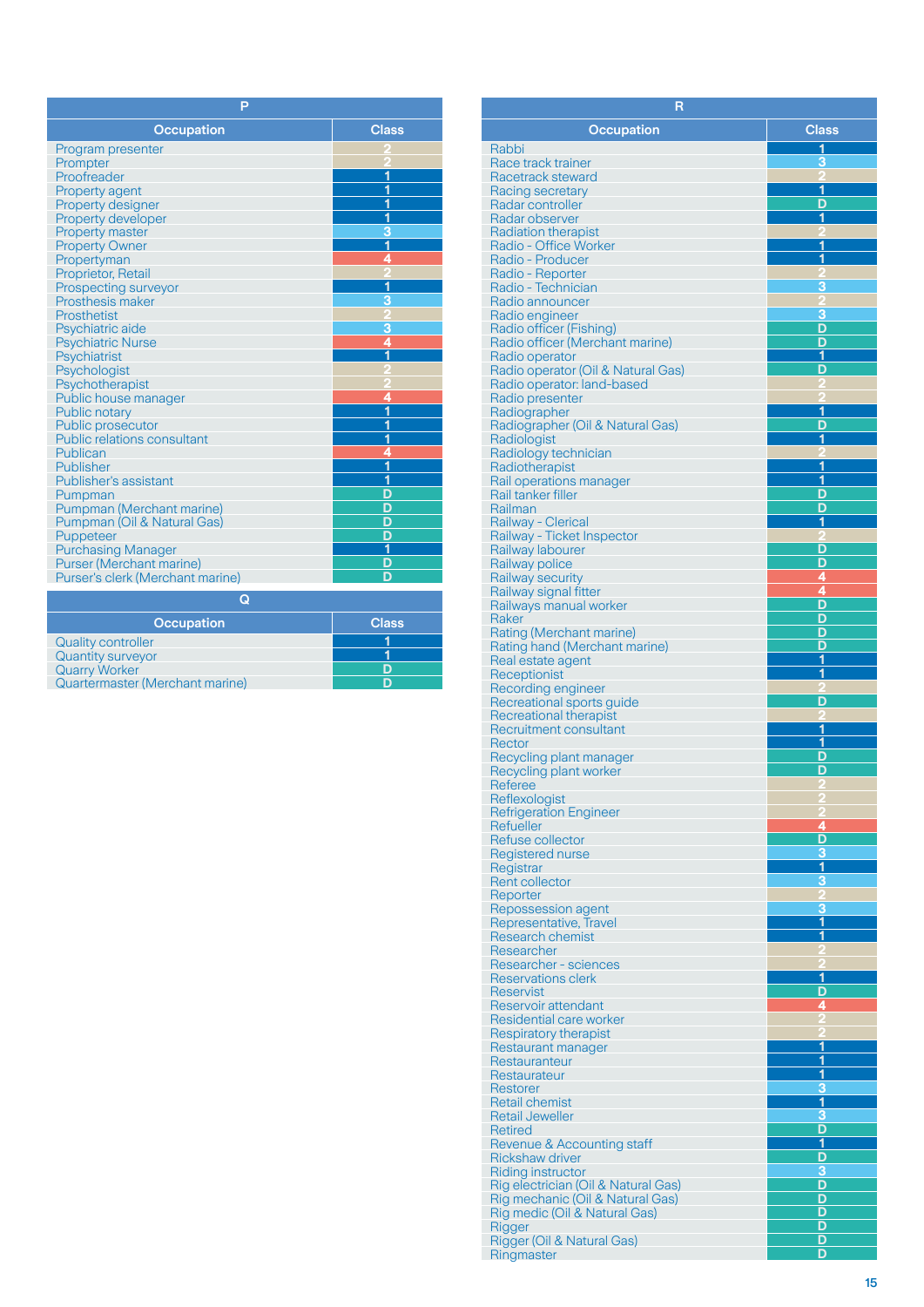| P                                                       |              |
|---------------------------------------------------------|--------------|
| <b>Occupation</b>                                       | <b>Class</b> |
| Program presenter                                       |              |
| Prompter                                                |              |
| Proofreader                                             | 1            |
| <b>Property agent</b>                                   | 1            |
| Property designer                                       | 1            |
| Property developer                                      | 1            |
| <b>Property master</b>                                  | 3            |
| <b>Property Owner</b>                                   | 1            |
| Propertyman                                             | 4            |
| Proprietor, Retail                                      |              |
| Prospecting surveyor                                    | 1            |
| Prosthesis maker                                        | з            |
| Prosthetist                                             |              |
| Psychiatric aide                                        | 3<br>4       |
| <b>Psychiatric Nurse</b>                                |              |
| Psychiatrist                                            | 1            |
| Psychologist                                            |              |
| Psychotherapist                                         | 4            |
| Public house manager                                    | 1            |
| Public notary                                           | 1            |
| Public prosecutor<br><b>Public relations consultant</b> | 1            |
| Publican                                                | 4            |
| Publisher                                               | 1            |
| <b>Publisher's assistant</b>                            | 1            |
| Pumpman                                                 | D            |
| Pumpman (Merchant marine)                               | D            |
| Pumpman (Oil & Natural Gas)                             | D            |
| Puppeteer                                               | D            |
| <b>Purchasing Manager</b>                               | 1            |
| <b>Purser (Merchant marine)</b>                         | D            |
| Purser's clerk (Merchant marine)                        | D            |
| Q                                                       |              |
| <b>Occupation</b>                                       | <b>Class</b> |
| <b>Quality controller</b>                               | 1            |
| <b>Quantity surveyor</b>                                | 1            |
| <b>Quarry Worker</b>                                    | D            |

**D**

| <b>Quarry Worker</b> |                                        |
|----------------------|----------------------------------------|
|                      | <b>Quartermaster (Merchant marine)</b> |

| R                                                                 |                         |  |
|-------------------------------------------------------------------|-------------------------|--|
| <b>Occupation</b>                                                 | <b>Class</b>            |  |
| Rabbi                                                             | 1                       |  |
| Race track trainer                                                | З                       |  |
| Racetrack steward                                                 |                         |  |
| Racing secretary<br>Radar controller                              | 1<br>D                  |  |
| Radar observer                                                    | 1                       |  |
| <b>Radiation therapist</b>                                        |                         |  |
| Radio - Office Worker                                             | 1<br>1                  |  |
| Radio - Producer<br>Radio - Reporter                              |                         |  |
| Radio - Technician                                                | 3                       |  |
| Radio announcer                                                   |                         |  |
| Radio engineer<br>Radio officer (Fishing)                         | 3<br>D                  |  |
| Radio officer (Merchant marine)                                   | D                       |  |
| Radio operator                                                    | 1                       |  |
| Radio operator (Oil & Natural Gas)                                | D                       |  |
| Radio operator: land-based<br>Radio presenter                     |                         |  |
| Radiographer                                                      | 1                       |  |
| Radiographer (Oil & Natural Gas)                                  | D                       |  |
| Radiologist<br>Radiology technician                               | 1                       |  |
| Radiotherapist                                                    | 1                       |  |
| Rail operations manager                                           | 1                       |  |
| Rail tanker filler                                                | D                       |  |
| Railman<br>Railway - Clerical                                     | D<br>1                  |  |
| Railway - Ticket Inspector                                        |                         |  |
| Railway labourer                                                  | D                       |  |
| Railway police                                                    | D<br>4                  |  |
| Railway security<br>Railway signal fitter                         | 4                       |  |
| Railways manual worker                                            | D                       |  |
| Raker                                                             | D                       |  |
| Rating (Merchant marine)<br>Rating hand (Merchant marine)         | D<br>D                  |  |
| Real estate agent                                                 | 1                       |  |
| Receptionist                                                      | 1                       |  |
| Recording engineer<br>Recreational sports guide                   | D                       |  |
| Recreational therapist                                            |                         |  |
| Recruitment consultant                                            | 1                       |  |
| Rector                                                            | 1                       |  |
| Recycling plant manager<br>Recycling plant worker                 | D<br>D                  |  |
| Referee                                                           |                         |  |
| Reflexologist                                                     |                         |  |
| <b>Refrigeration Engineer</b><br>Refueller                        | 4                       |  |
| Refuse collector                                                  | D                       |  |
| Registered nurse                                                  | 3                       |  |
| Registrar                                                         | $\overline{\mathbf{1}}$ |  |
| <b>Rent collector</b><br>Reporter                                 | 3                       |  |
| Repossession agent                                                | 3                       |  |
| Representative, Travel                                            | 1                       |  |
| <b>Research chemist</b><br>Researcher                             | 1                       |  |
| Researcher - sciences                                             |                         |  |
| Reservations clerk                                                | $\overline{\mathbf{1}}$ |  |
| Reservist                                                         | D                       |  |
| Reservoir attendant<br>Residential care worker                    | 4                       |  |
| <b>Respiratory therapist</b>                                      |                         |  |
| Restaurant manager                                                | 1                       |  |
| Restauranteur                                                     | 1<br>1                  |  |
| Restaurateur<br>Restorer                                          | 3                       |  |
| <b>Retail chemist</b>                                             | 1                       |  |
| <b>Retail Jeweller</b>                                            | 3                       |  |
| Retired<br>Revenue & Accounting staff                             | D<br>1                  |  |
| Rickshaw driver                                                   | D                       |  |
| <b>Riding instructor</b>                                          | 3                       |  |
| Rig electrician (Oil & Natural Gas)                               | D                       |  |
| Rig mechanic (Oil & Natural Gas)<br>Rig medic (Oil & Natural Gas) | D<br>D                  |  |
| Rigger                                                            | D                       |  |
| Rigger (Oil & Natural Gas)                                        | D                       |  |
| Ringmaster                                                        | D                       |  |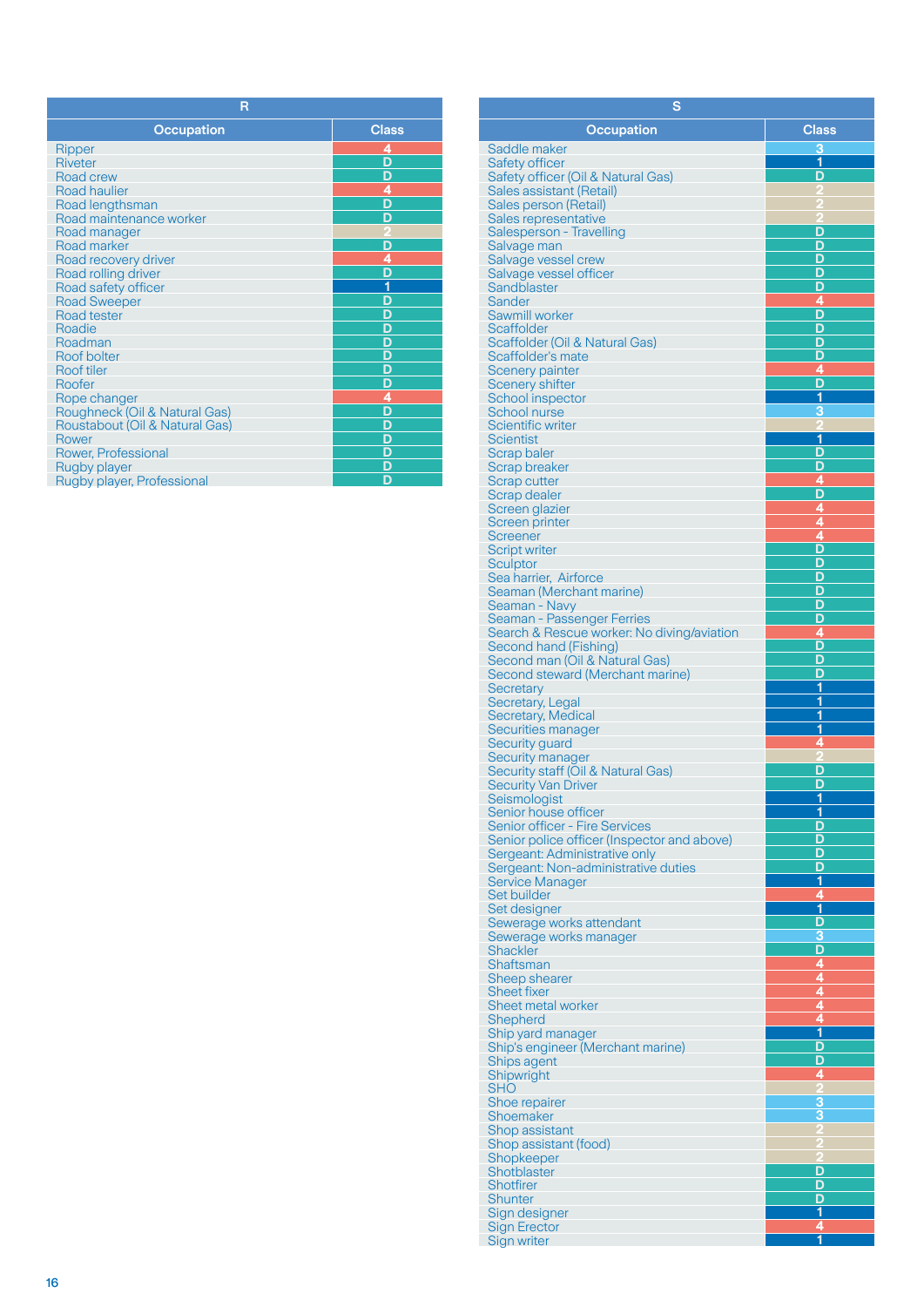| R                              |                         |
|--------------------------------|-------------------------|
| <b>Occupation</b>              | <b>Class</b>            |
| Ripper                         |                         |
| <b>Riveter</b>                 | $\frac{4}{D}$           |
| Road crew                      | D                       |
| <b>Road haulier</b>            | $\frac{4}{D}$           |
| Road lengthsman                |                         |
| Road maintenance worker        | D                       |
| Road manager                   |                         |
| Road marker                    | $\overline{\mathsf{D}}$ |
| Road recovery driver           | $\frac{4}{1}$           |
| Road rolling driver            |                         |
| Road safety officer            |                         |
| <b>Road Sweeper</b>            | D                       |
| Road tester                    |                         |
| Roadie                         | $\frac{D}{D}$           |
| Roadman                        |                         |
| Roof bolter                    |                         |
| <b>Roof tiler</b>              |                         |
| Roofer                         |                         |
| Rope changer                   |                         |
| Roughneck (Oil & Natural Gas)  |                         |
| Roustabout (Oil & Natural Gas) |                         |
| Rower                          | D                       |
| Rower, Professional            | $\frac{D}{D}$           |
| Rugby player                   |                         |
| Rugby player, Professional     | D                       |

| s                                                                        |                         |
|--------------------------------------------------------------------------|-------------------------|
| <b>Occupation</b>                                                        | <b>Class</b>            |
| Saddle maker                                                             | 3                       |
| Safety officer                                                           | 1                       |
| Safety officer (Oil & Natural Gas)                                       | D                       |
| Sales assistant (Retail)                                                 |                         |
| Sales person (Retail)<br>Sales representative                            |                         |
| Salesperson - Travelling                                                 | D                       |
| Salvage man                                                              | D                       |
| Salvage vessel crew                                                      | D                       |
| Salvage vessel officer<br>Sandblaster                                    | D<br>D                  |
| Sander                                                                   | 4                       |
| Sawmill worker                                                           | D                       |
| <b>Scaffolder</b>                                                        | D                       |
| Scaffolder (Oil & Natural Gas)                                           | D                       |
| Scaffolder's mate<br><b>Scenery painter</b>                              | D<br>4                  |
| <b>Scenery shifter</b>                                                   | D                       |
| School inspector                                                         | 1                       |
| <b>School nurse</b>                                                      | 3                       |
| <b>Scientific writer</b>                                                 | 1                       |
| Scientist<br>Scrap baler                                                 | D                       |
| <b>Scrap breaker</b>                                                     | Đ                       |
| Scrap cutter                                                             | 4                       |
| Scrap dealer                                                             | D                       |
| Screen glazier                                                           | 4                       |
| Screen printer<br>Screener                                               | 4<br>ģ                  |
| <b>Script writer</b>                                                     | D                       |
| Sculptor                                                                 | D                       |
| Sea harrier, Airforce                                                    | D                       |
| Seaman (Merchant marine)                                                 | D                       |
| Seaman - Navy                                                            | D<br>D                  |
| Seaman - Passenger Ferries<br>Search & Rescue worker: No diving/aviation | 4                       |
| Second hand (Fishing)                                                    | D                       |
| Second man (Oil & Natural Gas)                                           | D                       |
| Second steward (Merchant marine)                                         | D                       |
| Secretary<br>Secretary, Legal                                            | 1<br>1                  |
| Secretary, Medical                                                       | 1                       |
| Securities manager                                                       | 1                       |
| Security guard                                                           | 4                       |
| Security manager                                                         |                         |
| Security staff (Oil & Natural Gas)<br><b>Security Van Driver</b>         | D<br>D                  |
| Seismologist                                                             | 1                       |
| Senior house officer                                                     | 1                       |
| Senior officer - Fire Services                                           | D                       |
| Senior police officer (Inspector and above)                              | D<br>D                  |
| Sergeant: Administrative only<br>Sergeant: Non-administrative duties     | D                       |
| Service Manager                                                          | <u>1</u>                |
| Set builder                                                              | 4                       |
| Set designer                                                             | $\overline{\mathbf{1}}$ |
| Sewerage works attendant                                                 | D<br>3                  |
| Sewerage works manager<br>Shackler                                       | D                       |
| Shaftsman                                                                | $\overline{4}$          |
| Sheep shearer                                                            | $\frac{4}{4}$           |
| <b>Sheet fixer</b>                                                       |                         |
| Sheet metal worker<br><b>Shepherd</b>                                    | $\frac{4}{4}$           |
| Ship yard manager                                                        | $\overline{\mathbf{1}}$ |
| Ship's engineer (Merchant marine)                                        | D                       |
| Ships agent                                                              | D                       |
| Shipwright                                                               | 4                       |
| SHO<br>Shoe repairer                                                     | 3                       |
| Shoemaker                                                                | 3                       |
| Shop assistant                                                           | 2                       |
| Shop assistant (food)                                                    | 2                       |
| Shopkeeper                                                               | 2                       |
| Shotblaster<br><b>Shotfirer</b>                                          | D<br>D                  |
| <b>Shunter</b>                                                           | D                       |
| Sign designer                                                            | 1                       |
| <b>Sign Erector</b>                                                      | 4                       |
| Sign writer                                                              | 1                       |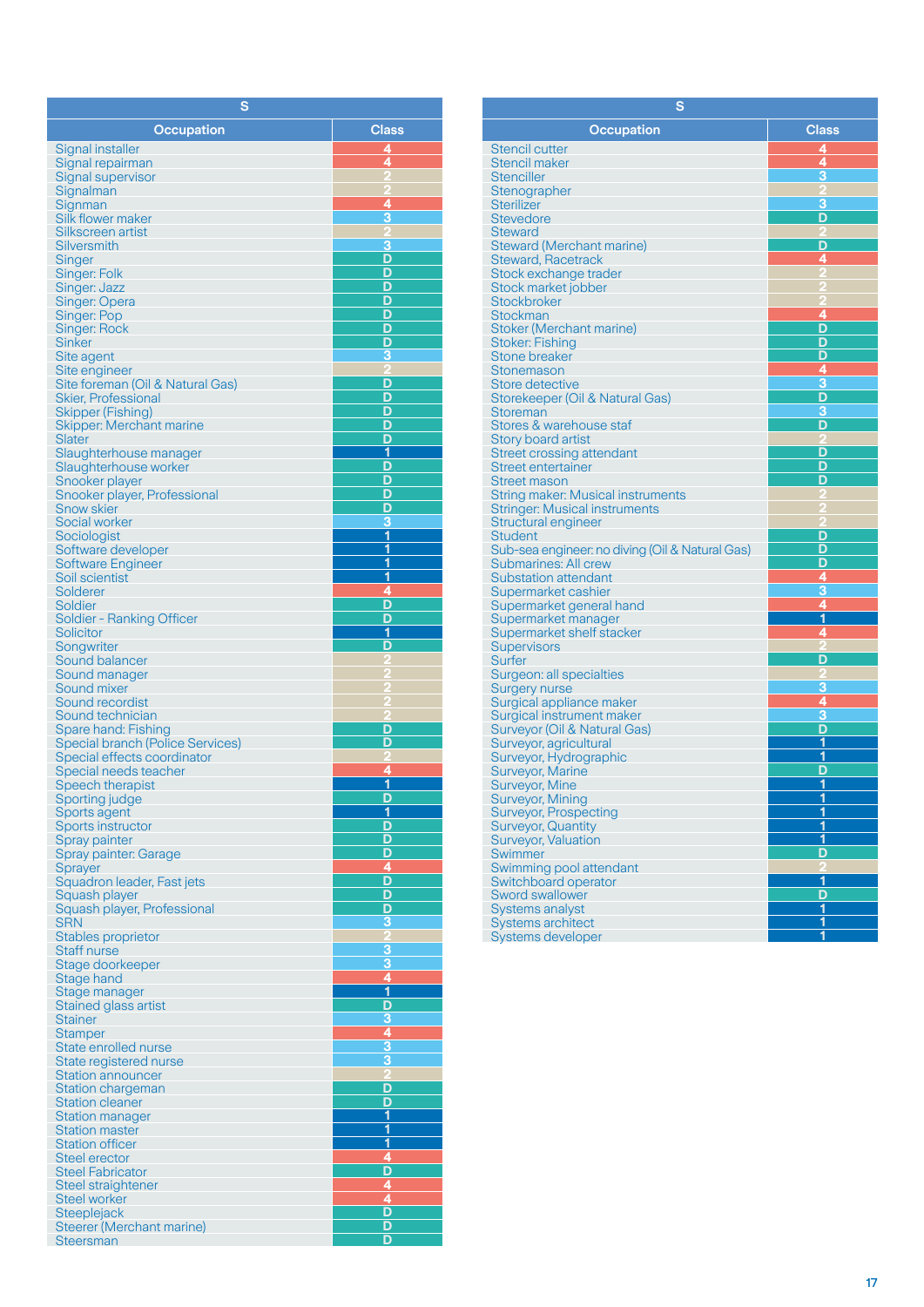| S                                                              |                              |
|----------------------------------------------------------------|------------------------------|
| Occupation                                                     | <b>Class</b>                 |
| Signal installer                                               | 4                            |
| Signal repairman                                               | 4                            |
| Signal supervisor                                              |                              |
| Signalman<br>Signman                                           | 4                            |
| Silk flower maker                                              | 3                            |
| Silkscreen artist                                              |                              |
| <b>Silversmith</b>                                             | З                            |
| Singer<br>Singer: Folk                                         | D<br>D                       |
| Singer: Jazz                                                   | D                            |
| Singer: Opera                                                  | D                            |
| Singer: Pop                                                    | D<br>D                       |
| <b>Singer: Rock</b><br><b>Sinker</b>                           | D                            |
| Site agent                                                     | 3                            |
| Site engineer                                                  | 2                            |
| Site foreman (Oil & Natural Gas)<br><b>Skier, Professional</b> | D<br>D                       |
| Skipper (Fishing)                                              | D                            |
| Skipper: Merchant marine                                       | D                            |
| Slater                                                         | D                            |
| Slaughterhouse manager<br>Slaughterhouse worker                | 1<br>D                       |
| Snooker player                                                 | D                            |
| Snooker player, Professional                                   | D                            |
| <b>Snow skier</b>                                              | D                            |
| Social worker<br>Sociologist                                   | 3<br>$\overline{\mathbf{1}}$ |
| Software developer                                             | 1                            |
| <b>Software Engineer</b>                                       | 1                            |
| Soil scientist                                                 | 1                            |
| Solderer<br>Soldier                                            | 4<br>D                       |
| <b>Soldier - Ranking Officer</b>                               | D                            |
| <b>Solicitor</b>                                               | 1                            |
| Songwriter                                                     | D                            |
| Sound balancer<br>Sound manager                                |                              |
| Sound mixer                                                    |                              |
| Sound recordist                                                |                              |
| Sound technician<br>Spare hand: Fishing                        | D                            |
| <b>Special branch (Police Services)</b>                        | D                            |
| Special effects coordinator                                    |                              |
| Special needs teacher                                          | 4                            |
| Speech therapist<br>Sporting judge                             | 1<br>D                       |
| Sports agent                                                   | 1                            |
| Sports instructor                                              | D                            |
| Spray painter                                                  | D<br>D                       |
| Spray painter: Garage<br>Sprayer                               | 4                            |
| Squadron leader, Fast jets                                     | D                            |
| Squash player                                                  | $\overline{\mathsf{D}}$      |
| Squash player, Professional<br><b>SRN</b>                      | D<br>3                       |
| Stables proprietor                                             |                              |
| <b>Staff nurse</b>                                             |                              |
| Stage doorkeeper                                               | $\frac{3}{4}$                |
| Stage hand<br>Stage manager                                    | $\overline{\mathbf{1}}$      |
| Stained glass artist                                           | D                            |
| <b>Stainer</b>                                                 | $\overline{\mathbf{3}}$      |
| <b>Stamper</b>                                                 | $\frac{4}{3}$                |
| State enrolled nurse<br>State registered nurse                 | 3                            |
| <b>Station announcer</b>                                       |                              |
| <b>Station chargeman</b>                                       | D                            |
| <b>Station cleaner</b>                                         | D<br>1                       |
| <b>Station manager</b><br><b>Station master</b>                | $\overline{\mathbf{1}}$      |
| <b>Station officer</b>                                         | 1                            |
| Steel erector                                                  | 4                            |
| <b>Steel Fabricator</b>                                        | D<br>4                       |
| Steel straightener<br>Steel worker                             | 4                            |
| <b>Steeplejack</b>                                             | D                            |
| Steerer (Merchant marine)                                      | D                            |
| <b>Steersman</b>                                               | D                            |

| s                                                     |                           |  |
|-------------------------------------------------------|---------------------------|--|
| <b>Occupation</b>                                     | <b>Class</b>              |  |
| <b>Stencil cutter</b>                                 | 4                         |  |
| Stencil maker                                         | 4                         |  |
| <b>Stenciller</b>                                     | 3                         |  |
| Stenographer                                          |                           |  |
| <b>Sterilizer</b>                                     | 3                         |  |
| <b>Stevedore</b>                                      | D                         |  |
| <b>Steward</b>                                        |                           |  |
| <b>Steward (Merchant marine)</b>                      | D                         |  |
| <b>Steward, Racetrack</b>                             | 4                         |  |
| Stock exchange trader                                 |                           |  |
| Stock market jobber                                   |                           |  |
| <b>Stockbroker</b><br>Stockman                        | 4                         |  |
| Stoker (Merchant marine)                              | D                         |  |
| <b>Stoker: Fishing</b>                                | D                         |  |
| <b>Stone breaker</b>                                  | D                         |  |
| Stonemason                                            | 4                         |  |
| Store detective                                       | 3                         |  |
| Storekeeper (Oil & Natural Gas)                       | D                         |  |
| <b>Storeman</b>                                       | З                         |  |
| Stores & warehouse staf                               | D                         |  |
| <b>Story board artist</b>                             |                           |  |
| <b>Street crossing attendant</b>                      | D                         |  |
| <b>Street entertainer</b>                             | D                         |  |
| <b>Street mason</b>                                   | D                         |  |
| <b>String maker: Musical instruments</b>              |                           |  |
| <b>Stringer: Musical instruments</b>                  |                           |  |
| Structural engineer<br><b>Student</b>                 | D                         |  |
| Sub-sea engineer: no diving (Oil & Natural Gas)       | D                         |  |
| Submarines: All crew                                  | D                         |  |
| <b>Substation attendant</b>                           | 4                         |  |
| Supermarket cashier                                   | $\overline{\overline{3}}$ |  |
| Supermarket general hand                              | $\overline{4}$            |  |
| Supermarket manager                                   | 1                         |  |
| Supermarket shelf stacker                             | 4                         |  |
| <b>Supervisors</b>                                    |                           |  |
| Surfer                                                | D                         |  |
| Surgeon: all specialties                              |                           |  |
| Surgery nurse                                         | 3<br>$\overline{4}$       |  |
| Surgical appliance maker<br>Surgical instrument maker | 3                         |  |
| Surveyor (Oil & Natural Gas)                          | D                         |  |
| Surveyor, agricultural                                | 1                         |  |
| Surveyor, Hydrographic                                | 1                         |  |
| <b>Surveyor, Marine</b>                               | D                         |  |
| <b>Surveyor, Mine</b>                                 | 1                         |  |
| <b>Surveyor, Mining</b>                               | $\overline{\mathbf{1}}$   |  |
| <b>Surveyor, Prospecting</b>                          | 1                         |  |
| <b>Surveyor, Quantity</b>                             | 1                         |  |
| Surveyor, Valuation                                   | 1                         |  |
| <b>Swimmer</b>                                        | D                         |  |
| Swimming pool attendant                               |                           |  |
| Switchboard operator                                  | $\overline{1}$            |  |
| <b>Sword swallower</b>                                | D<br>1                    |  |
| Systems analyst<br>Systems architect                  | $\overline{1}$            |  |
| Systems developer                                     | 1                         |  |
|                                                       |                           |  |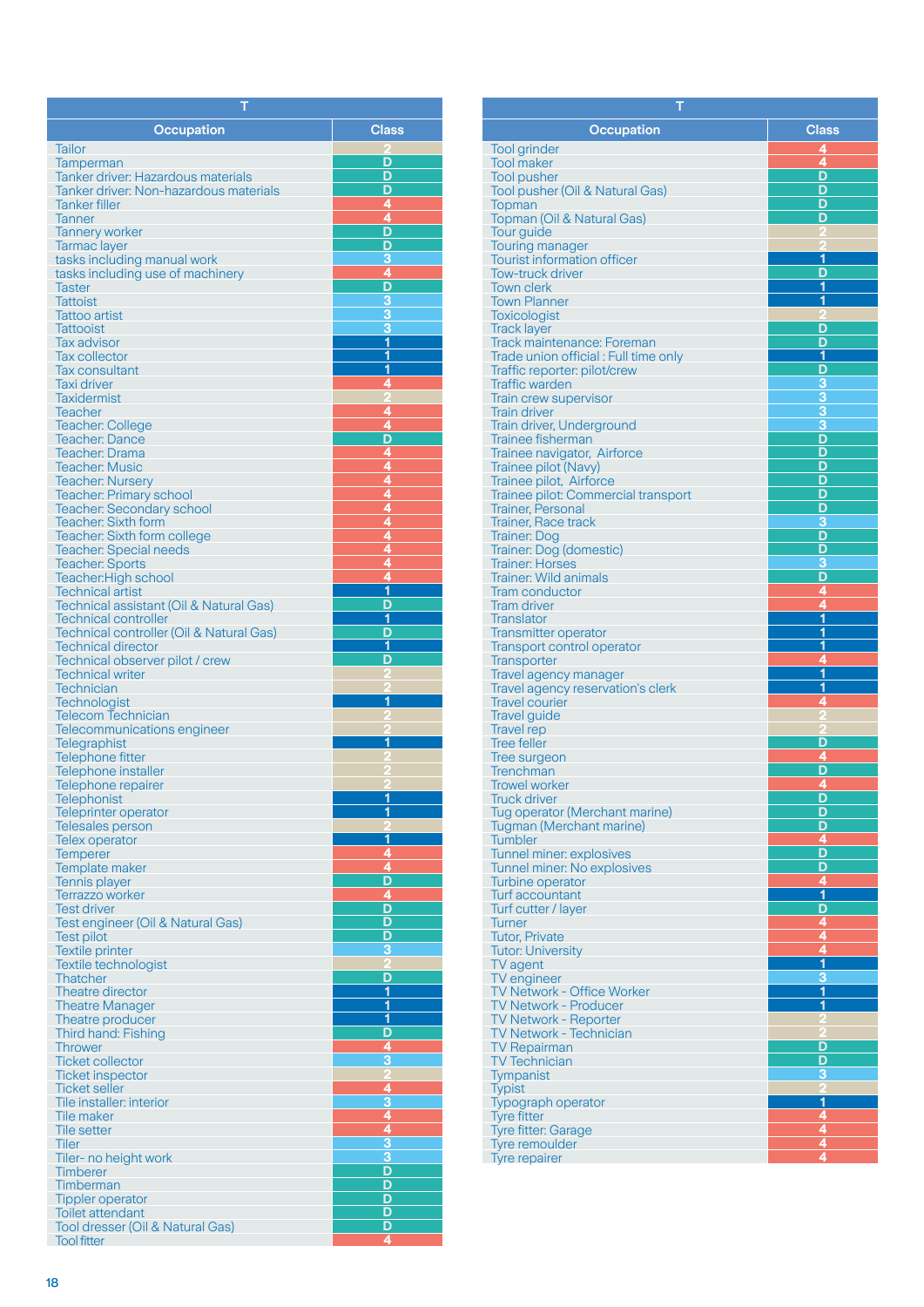| Т                                                              |                                           |
|----------------------------------------------------------------|-------------------------------------------|
| <b>Occupation</b>                                              | <b>Class</b>                              |
| Tailor                                                         |                                           |
| Tamperman                                                      | D                                         |
| <b>Tanker driver: Hazardous materials</b>                      | D                                         |
| Tanker driver: Non-hazardous materials<br><b>Tanker filler</b> | D<br>4                                    |
| <b>Tanner</b>                                                  | 4                                         |
| <b>Tannery worker</b>                                          | D                                         |
| Tarmac layer                                                   | D                                         |
| tasks including manual work                                    | 3<br>$\overline{4}$                       |
| tasks including use of machinery<br><b>Taster</b>              | D                                         |
| <b>Tattoist</b>                                                | 3                                         |
| <b>Tattoo artist</b>                                           | 3                                         |
| <b>Tattooist</b>                                               | 3<br>$\overline{\mathbf{1}}$              |
| <b>Tax advisor</b><br><b>Tax collector</b>                     | 1                                         |
| <b>Tax consultant</b>                                          | 1                                         |
| Taxi driver                                                    | 4                                         |
| Taxidermist                                                    |                                           |
| <b>Teacher</b><br><b>Teacher: College</b>                      | 4<br>$\overline{4}$                       |
| <b>Teacher: Dance</b>                                          | D                                         |
| <b>Teacher: Drama</b>                                          | $\overline{\mathbf{4}}$                   |
| <b>Teacher: Music</b>                                          | $\frac{4}{4}$                             |
| <b>Teacher: Nursery</b>                                        |                                           |
| Teacher: Primary school<br><b>Teacher: Secondary school</b>    |                                           |
| Teacher: Sixth form                                            | $\frac{44}{444}$                          |
| Teacher: Sixth form college                                    |                                           |
| <b>Teacher: Special needs</b>                                  |                                           |
| <b>Teacher: Sports</b><br>Teacher: High school                 | 4                                         |
| <b>Technical artist</b>                                        | $\overline{\mathbf{1}}$                   |
| Technical assistant (Oil & Natural Gas)                        | D                                         |
| <b>Technical controller</b>                                    | 1                                         |
| Technical controller (Oil & Natural Gas)                       | D<br>1                                    |
| <b>Technical director</b><br>Technical observer pilot / crew   | D                                         |
| <b>Technical writer</b>                                        |                                           |
| <b>Technician</b>                                              |                                           |
| Technologist                                                   | 1                                         |
| <b>Telecom Technician</b><br>Telecommunications engineer       |                                           |
| <b>Telegraphist</b>                                            | 1                                         |
| <b>Telephone fitter</b>                                        |                                           |
| Telephone installer                                            |                                           |
| Telephone repairer<br><b>Telephonist</b>                       | 1                                         |
| Teleprinter operator                                           | 1                                         |
| <b>Telesales person</b>                                        |                                           |
| Telex operator                                                 | 1                                         |
| <b>Temperer</b><br>Template maker                              | Ø<br>4                                    |
| <b>Tennis player</b>                                           | D                                         |
| Terrazzo worker                                                | $\overline{4}$                            |
| <b>Test driver</b>                                             | D                                         |
| Test engineer (Oil & Natural Gas)                              | D<br>D                                    |
| <b>Test pilot</b><br><b>Textile printer</b>                    | 3                                         |
| Textile technologist                                           |                                           |
| <b>Thatcher</b>                                                | D                                         |
| Theatre director                                               | $\overline{1}$                            |
| <b>Theatre Manager</b><br>Theatre producer                     | 1<br>$\overline{\mathbf{1}}$              |
| Third hand: Fishing                                            |                                           |
| <b>Thrower</b>                                                 | $\frac{D}{4}$                             |
| <b>Ticket collector</b>                                        | $\overline{3}$                            |
| <b>Ticket inspector</b><br><b>Ticket seller</b>                |                                           |
| Tile installer: interior                                       |                                           |
| <b>Tile maker</b>                                              | $\frac{4}{3}$ $\frac{4}{4}$ $\frac{4}{3}$ |
| Tile setter                                                    |                                           |
| <b>Tiler</b>                                                   |                                           |
| Tiler- no height work<br><b>Timberer</b>                       | 3<br>D                                    |
| Timberman                                                      | D                                         |
| <b>Tippler operator</b>                                        | D                                         |
| Toilet attendant                                               | D                                         |
| Tool dresser (Oil & Natural Gas)                               | D<br>4                                    |
| <b>Tool fitter</b>                                             |                                           |

| т                                                                 |                              |
|-------------------------------------------------------------------|------------------------------|
| <b>Occupation</b>                                                 | <b>Class</b>                 |
| <b>Tool grinder</b>                                               | 4                            |
| <b>Tool maker</b>                                                 | 4                            |
| <b>Tool pusher</b>                                                | D<br>D                       |
| Tool pusher (Oil & Natural Gas)<br><b>Topman</b>                  | D                            |
| Topman (Oil & Natural Gas)                                        | D                            |
| <b>Tour guide</b>                                                 |                              |
| <b>Touring manager</b>                                            |                              |
| <b>Tourist information officer</b><br><b>Tow-truck driver</b>     | 1<br>D                       |
| <b>Town clerk</b>                                                 | 1                            |
| <b>Town Planner</b>                                               | 1                            |
| <b>Toxicologist</b>                                               | D                            |
| <b>Track layer</b><br>Track maintenance: Foreman                  | D                            |
| Trade union official: Full time only                              | 1                            |
| Traffic reporter: pilot/crew                                      | D                            |
| <b>Traffic warden</b>                                             | 3<br>3                       |
| <b>Train crew supervisor</b><br><b>Train driver</b>               | 3                            |
| Train driver, Underground                                         | 3                            |
| <b>Trainee fisherman</b>                                          | D                            |
| Trainee navigator, Airforce                                       | D                            |
| Trainee pilot (Navy)<br>Trainee pilot, Airforce                   | D<br>D                       |
| Trainee pilot: Commercial transport                               | D                            |
| <b>Trainer, Personal</b>                                          | D                            |
| Trainer, Race track                                               | 3<br>D                       |
| Trainer: Dog<br>Trainer: Dog (domestic)                           | D                            |
| <b>Trainer: Horses</b>                                            | 3                            |
| <b>Trainer: Wild animals</b>                                      | D                            |
| <b>Tram conductor</b>                                             | 4<br>4                       |
| <b>Tram driver</b><br><b>Translator</b>                           | $\overline{\mathbf{1}}$      |
| <b>Transmitter operator</b>                                       | 1                            |
| <b>Transport control operator</b>                                 | 1                            |
| <b>Transporter</b>                                                | 4<br>1                       |
| <b>Travel agency manager</b><br>Travel agency reservation's clerk | 1                            |
| <b>Travel courier</b>                                             | 4                            |
| <b>Travel guide</b>                                               | 2                            |
| <b>Travel rep</b><br><b>Tree feller</b>                           | Đ                            |
| Tree surgeon                                                      | 4                            |
| <b>Trenchman</b>                                                  | D                            |
| <b>Trowel worker</b>                                              | 4                            |
| <b>Truck driver</b><br>Tug operator (Merchant marine)             | D<br>D                       |
| <b>Tugman (Merchant marine)</b>                                   | D                            |
| <b>Tumbler</b>                                                    | 4                            |
| Tunnel miner: explosives                                          | D                            |
| <b>Tunnel miner: No explosives</b><br>Turbine operator            | D<br>4                       |
| Turf accountant                                                   | 1                            |
| Turf cutter / layer                                               | D                            |
| <b>Turner</b>                                                     | $\overline{\mathbf{4}}$      |
| <b>Tutor, Private</b><br><b>Tutor: University</b>                 | 4<br>4                       |
| TV agent                                                          | 1                            |
| TV engineer                                                       | 3                            |
| TV Network - Office Worker                                        | 1                            |
| <b>TV Network - Producer</b><br><b>TV Network - Reporter</b>      | 1                            |
| TV Network - Technician                                           |                              |
| <b>TV Repairman</b>                                               | D                            |
| <b>TV Technician</b>                                              | D                            |
| <b>Tympanist</b><br><b>Typist</b>                                 | з                            |
| <b>Typograph operator</b>                                         | $\overline{1}$               |
| <b>Tyre fitter</b>                                                | 4                            |
| <b>Tyre fitter: Garage</b>                                        | 4                            |
| <b>Tyre remoulder</b>                                             | $\overline{\mathbf{4}}$<br>4 |
| <b>Tyre repairer</b>                                              |                              |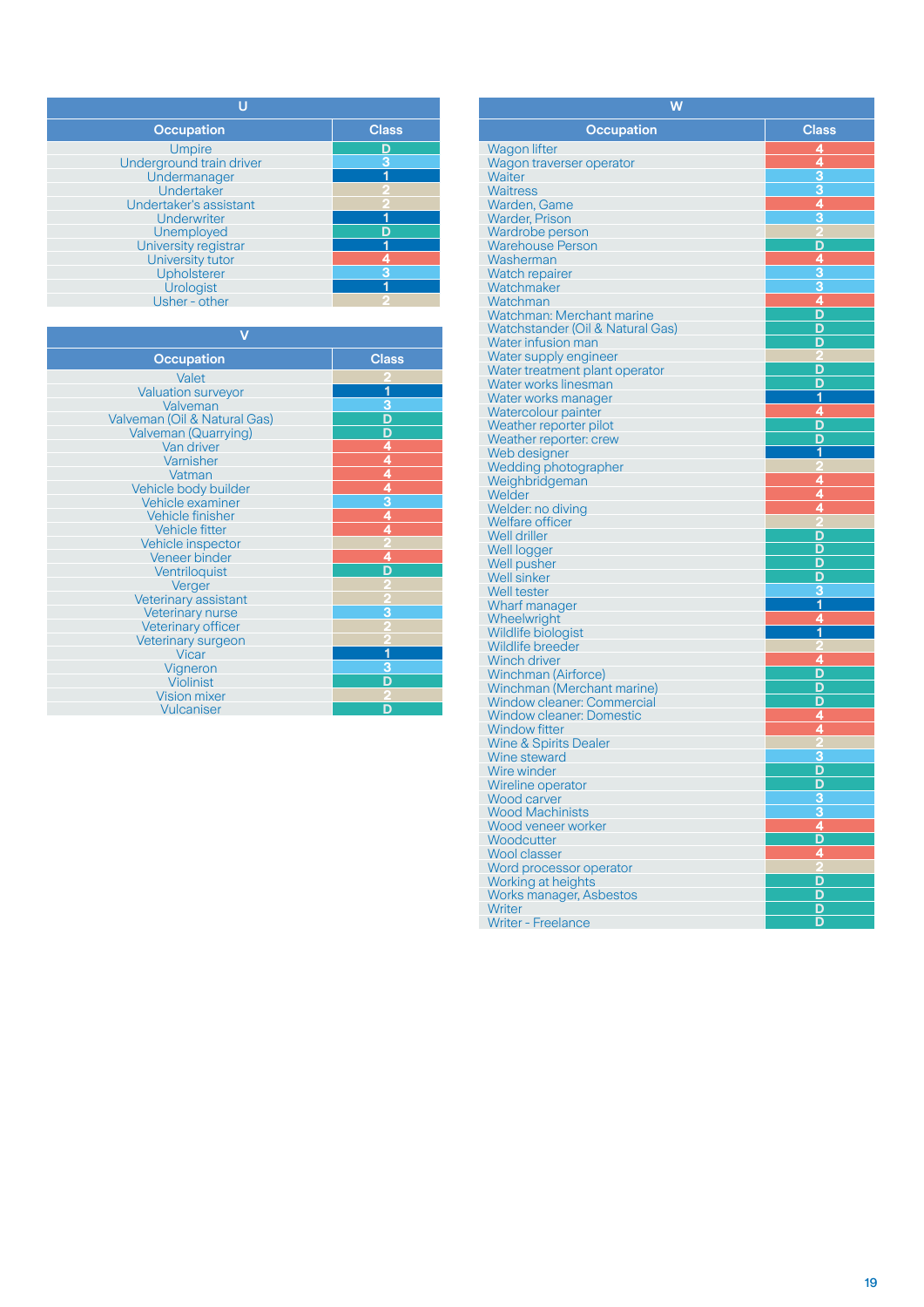| <b>Occupation</b>        | <b>Class</b> |
|--------------------------|--------------|
| <b>Umpire</b>            | D            |
| Underground train driver |              |
| Undermanager             |              |
| Undertaker               |              |
| Undertaker's assistant   |              |
| <b>Underwriter</b>       |              |
| Unemployed               |              |
| University registrar     |              |
| University tutor         |              |
| Upholsterer              |              |
| <b>Urologist</b>         |              |
| Usher - other            |              |

| <b>Class</b>                |  |  |
|-----------------------------|--|--|
|                             |  |  |
| 1                           |  |  |
| $\overline{3}$              |  |  |
|                             |  |  |
| $\frac{D D 4 4 4}{4 4 3 4}$ |  |  |
|                             |  |  |
|                             |  |  |
|                             |  |  |
|                             |  |  |
|                             |  |  |
|                             |  |  |
|                             |  |  |
|                             |  |  |
| 4                           |  |  |
| D                           |  |  |
|                             |  |  |
|                             |  |  |
| 3                           |  |  |
|                             |  |  |
|                             |  |  |
| 1                           |  |  |
| 3                           |  |  |
| D                           |  |  |
|                             |  |  |
| n                           |  |  |
|                             |  |  |

| W                                      |                |  |
|----------------------------------------|----------------|--|
| <b>Occupation</b>                      | <b>Class</b>   |  |
| <b>Wagon lifter</b>                    | 4              |  |
| Wagon traverser operator               | 4              |  |
| Waiter                                 | 3              |  |
| <b>Waitress</b>                        | 3              |  |
| Warden, Game                           | $\overline{4}$ |  |
| <b>Warder, Prison</b>                  | 3              |  |
| Wardrobe person                        |                |  |
| <b>Warehouse Person</b><br>Washerman   | D              |  |
| Watch repairer                         | 4<br>3         |  |
| Watchmaker                             | $\overline{3}$ |  |
| Watchman                               | 4              |  |
| Watchman: Merchant marine              | D              |  |
| Watchstander (Oil & Natural Gas)       | D              |  |
| Water infusion man                     | D              |  |
| Water supply engineer                  |                |  |
| Water treatment plant operator         | D              |  |
| Water works linesman                   | D              |  |
| Water works manager                    | 1              |  |
| Watercolour painter                    | 4              |  |
| Weather reporter pilot                 | D<br>D         |  |
| Weather reporter: crew<br>Web designer | 1              |  |
| Wedding photographer                   |                |  |
| Weighbridgeman                         | 4              |  |
| Welder                                 | 4              |  |
| Welder: no diving                      | 4              |  |
| Welfare officer                        |                |  |
| Well driller                           | D              |  |
| Well logger                            | D              |  |
| Well pusher                            | D              |  |
| <b>Well sinker</b>                     | D              |  |
| Well tester                            | з<br>1         |  |
| Wharf manager                          | 4              |  |
| Wheelwright<br>Wildlife biologist      | 1              |  |
| <b>Wildlife breeder</b>                |                |  |
| <b>Winch driver</b>                    | 4              |  |
| <b>Winchman (Airforce)</b>             | D              |  |
| Winchman (Merchant marine)             | D              |  |
| <b>Window cleaner: Commercial</b>      | Ď              |  |
| <b>Window cleaner: Domestic</b>        | 4              |  |
| <b>Window fitter</b>                   | 4              |  |
| <b>Wine &amp; Spirits Dealer</b>       |                |  |
| Wine steward                           | 3              |  |
| Wire winder                            | D<br>D         |  |
| Wireline operator                      |                |  |
| Wood carver<br><b>Wood Machinists</b>  |                |  |
| Wood veneer worker                     | 4              |  |
| Woodcutter                             | D              |  |
| <b>Wool classer</b>                    | 4              |  |
| Word processor operator                |                |  |
| Working at heights                     | D              |  |
| Works manager, Asbestos                | D              |  |
| Writer                                 | D              |  |
| <b>Writer - Freelance</b>              | D              |  |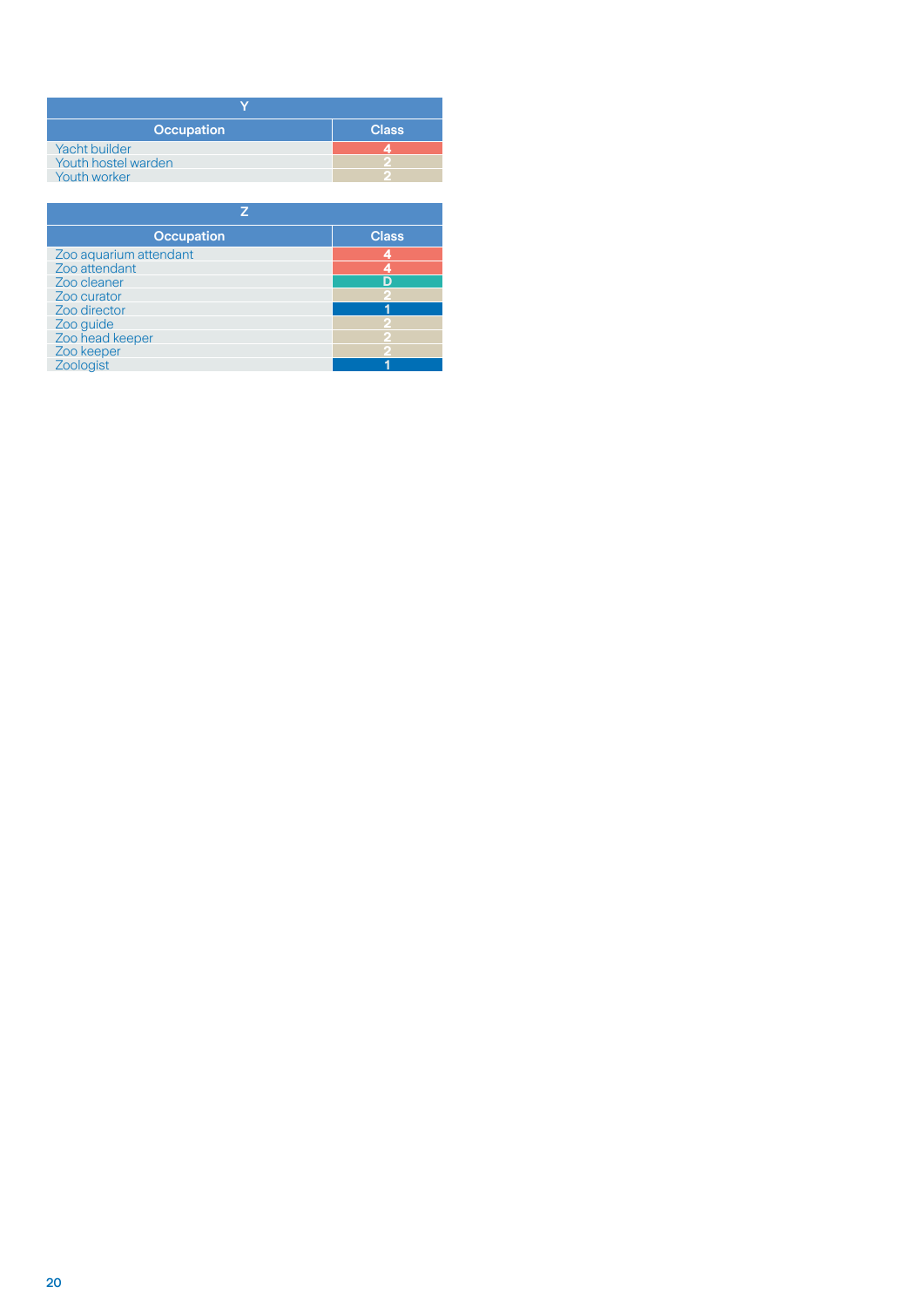| <b>Occupation</b>    | <b>Class</b> |
|----------------------|--------------|
| <b>Yacht builder</b> |              |
| Youth hostel warden  |              |
| Youth worker         |              |

| <b>Occupation</b>      | <b>Class</b> |  |
|------------------------|--------------|--|
| Zoo aquarium attendant |              |  |
| Zoo attendant          |              |  |
| Zoo cleaner            |              |  |
| Zoo curator            |              |  |
| Zoo director           |              |  |
| Zoo guide              |              |  |
| Zoo head keeper        |              |  |
| Zoo keeper             |              |  |
| Zoologist              |              |  |